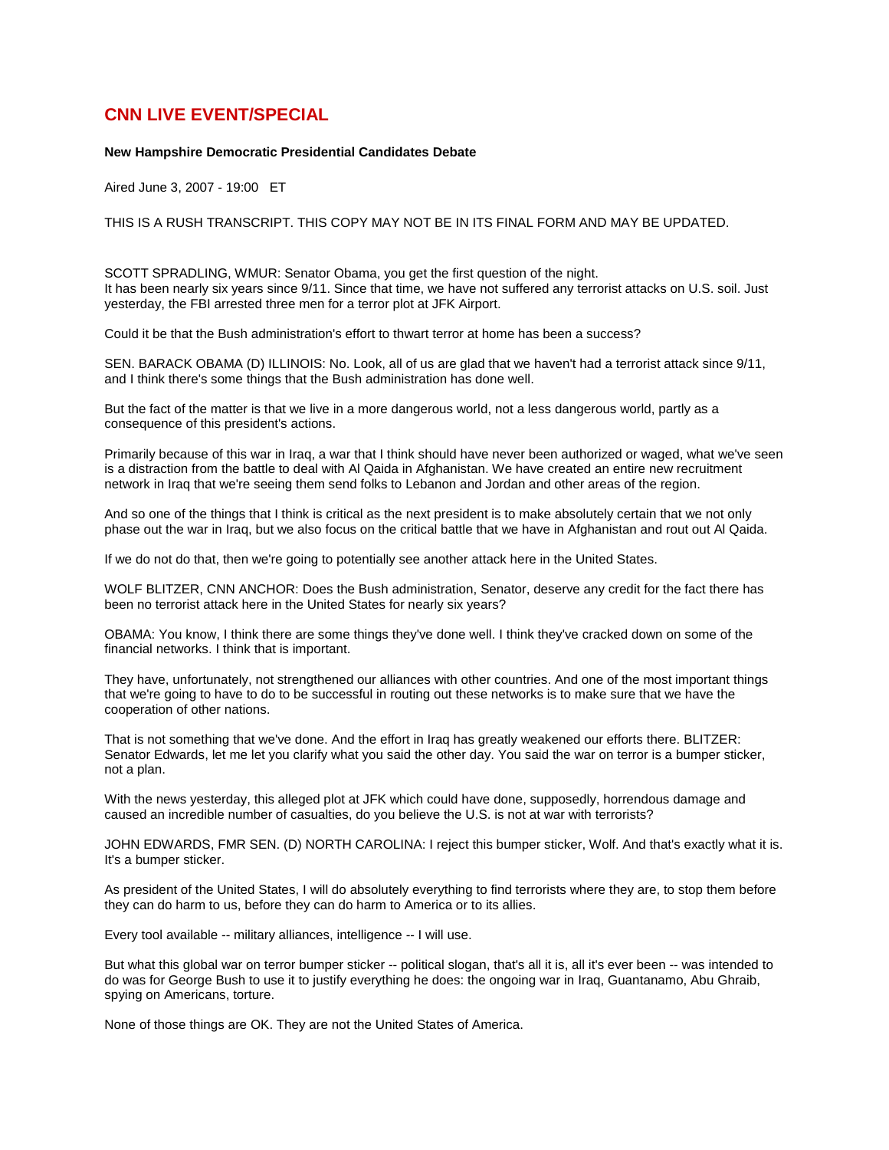# **CNN LIVE EVENT/SPECIAL**

# **New Hampshire Democratic Presidential Candidates Debate**

Aired June 3, 2007 - 19:00 ET

THIS IS A RUSH TRANSCRIPT. THIS COPY MAY NOT BE IN ITS FINAL FORM AND MAY BE UPDATED.

SCOTT SPRADLING, WMUR: Senator Obama, you get the first question of the night. It has been nearly six years since 9/11. Since that time, we have not suffered any terrorist attacks on U.S. soil. Just yesterday, the FBI arrested three men for a terror plot at JFK Airport.

Could it be that the Bush administration's effort to thwart terror at home has been a success?

SEN. BARACK OBAMA (D) ILLINOIS: No. Look, all of us are glad that we haven't had a terrorist attack since 9/11, and I think there's some things that the Bush administration has done well.

But the fact of the matter is that we live in a more dangerous world, not a less dangerous world, partly as a consequence of this president's actions.

Primarily because of this war in Iraq, a war that I think should have never been authorized or waged, what we've seen is a distraction from the battle to deal with Al Qaida in Afghanistan. We have created an entire new recruitment network in Iraq that we're seeing them send folks to Lebanon and Jordan and other areas of the region.

And so one of the things that I think is critical as the next president is to make absolutely certain that we not only phase out the war in Iraq, but we also focus on the critical battle that we have in Afghanistan and rout out Al Qaida.

If we do not do that, then we're going to potentially see another attack here in the United States.

WOLF BLITZER, CNN ANCHOR: Does the Bush administration, Senator, deserve any credit for the fact there has been no terrorist attack here in the United States for nearly six years?

OBAMA: You know, I think there are some things they've done well. I think they've cracked down on some of the financial networks. I think that is important.

They have, unfortunately, not strengthened our alliances with other countries. And one of the most important things that we're going to have to do to be successful in routing out these networks is to make sure that we have the cooperation of other nations.

That is not something that we've done. And the effort in Iraq has greatly weakened our efforts there. BLITZER: Senator Edwards, let me let you clarify what you said the other day. You said the war on terror is a bumper sticker, not a plan.

With the news yesterday, this alleged plot at JFK which could have done, supposedly, horrendous damage and caused an incredible number of casualties, do you believe the U.S. is not at war with terrorists?

JOHN EDWARDS, FMR SEN. (D) NORTH CAROLINA: I reject this bumper sticker, Wolf. And that's exactly what it is. It's a bumper sticker.

As president of the United States, I will do absolutely everything to find terrorists where they are, to stop them before they can do harm to us, before they can do harm to America or to its allies.

Every tool available -- military alliances, intelligence -- I will use.

But what this global war on terror bumper sticker -- political slogan, that's all it is, all it's ever been -- was intended to do was for George Bush to use it to justify everything he does: the ongoing war in Iraq, Guantanamo, Abu Ghraib, spying on Americans, torture.

None of those things are OK. They are not the United States of America.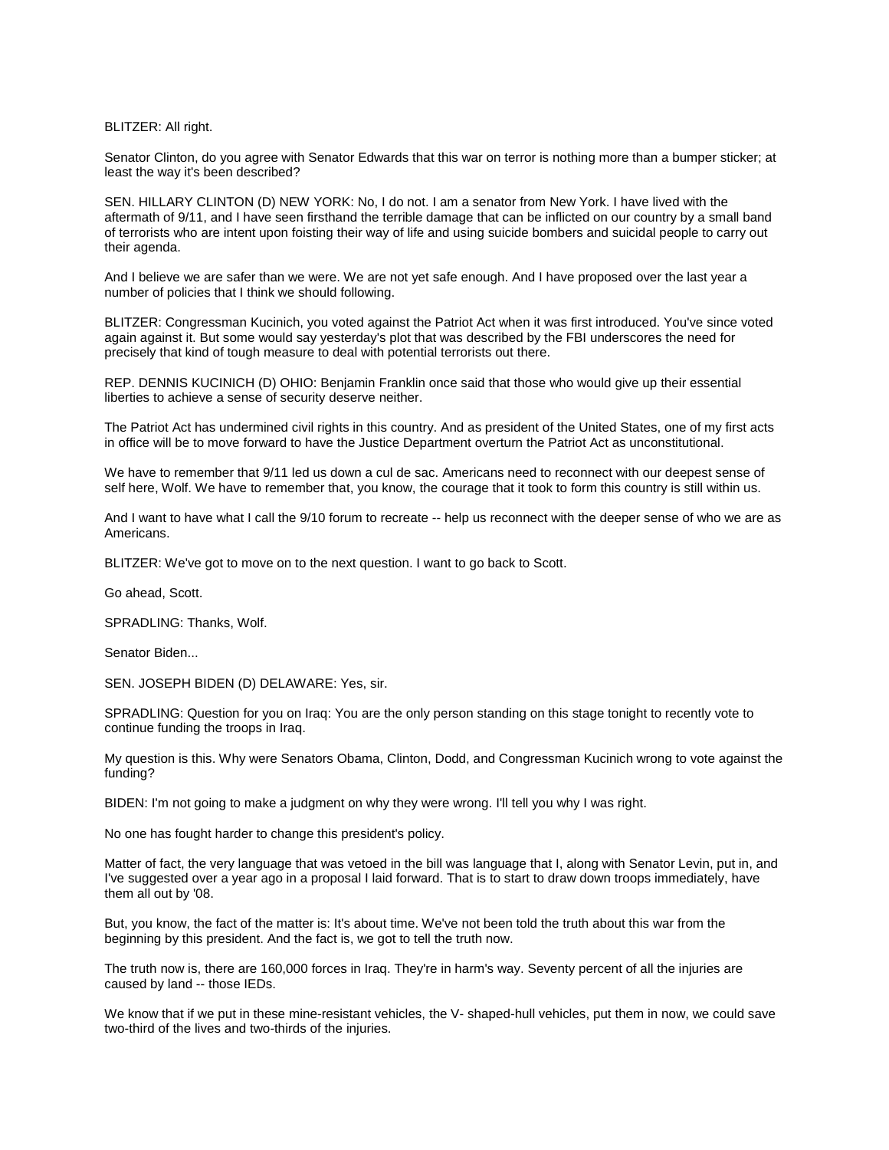BLITZER: All right.

Senator Clinton, do you agree with Senator Edwards that this war on terror is nothing more than a bumper sticker; at least the way it's been described?

SEN. HILLARY CLINTON (D) NEW YORK: No, I do not. I am a senator from New York. I have lived with the aftermath of 9/11, and I have seen firsthand the terrible damage that can be inflicted on our country by a small band of terrorists who are intent upon foisting their way of life and using suicide bombers and suicidal people to carry out their agenda.

And I believe we are safer than we were. We are not yet safe enough. And I have proposed over the last year a number of policies that I think we should following.

BLITZER: Congressman Kucinich, you voted against the Patriot Act when it was first introduced. You've since voted again against it. But some would say yesterday's plot that was described by the FBI underscores the need for precisely that kind of tough measure to deal with potential terrorists out there.

REP. DENNIS KUCINICH (D) OHIO: Benjamin Franklin once said that those who would give up their essential liberties to achieve a sense of security deserve neither.

The Patriot Act has undermined civil rights in this country. And as president of the United States, one of my first acts in office will be to move forward to have the Justice Department overturn the Patriot Act as unconstitutional.

We have to remember that 9/11 led us down a cul de sac. Americans need to reconnect with our deepest sense of self here, Wolf. We have to remember that, you know, the courage that it took to form this country is still within us.

And I want to have what I call the 9/10 forum to recreate -- help us reconnect with the deeper sense of who we are as Americans.

BLITZER: We've got to move on to the next question. I want to go back to Scott.

Go ahead, Scott.

SPRADLING: Thanks, Wolf.

Senator Biden...

SEN. JOSEPH BIDEN (D) DELAWARE: Yes, sir.

SPRADLING: Question for you on Iraq: You are the only person standing on this stage tonight to recently vote to continue funding the troops in Iraq.

My question is this. Why were Senators Obama, Clinton, Dodd, and Congressman Kucinich wrong to vote against the funding?

BIDEN: I'm not going to make a judgment on why they were wrong. I'll tell you why I was right.

No one has fought harder to change this president's policy.

Matter of fact, the very language that was vetoed in the bill was language that I, along with Senator Levin, put in, and I've suggested over a year ago in a proposal I laid forward. That is to start to draw down troops immediately, have them all out by '08.

But, you know, the fact of the matter is: It's about time. We've not been told the truth about this war from the beginning by this president. And the fact is, we got to tell the truth now.

The truth now is, there are 160,000 forces in Iraq. They're in harm's way. Seventy percent of all the injuries are caused by land -- those IEDs.

We know that if we put in these mine-resistant vehicles, the V- shaped-hull vehicles, put them in now, we could save two-third of the lives and two-thirds of the injuries.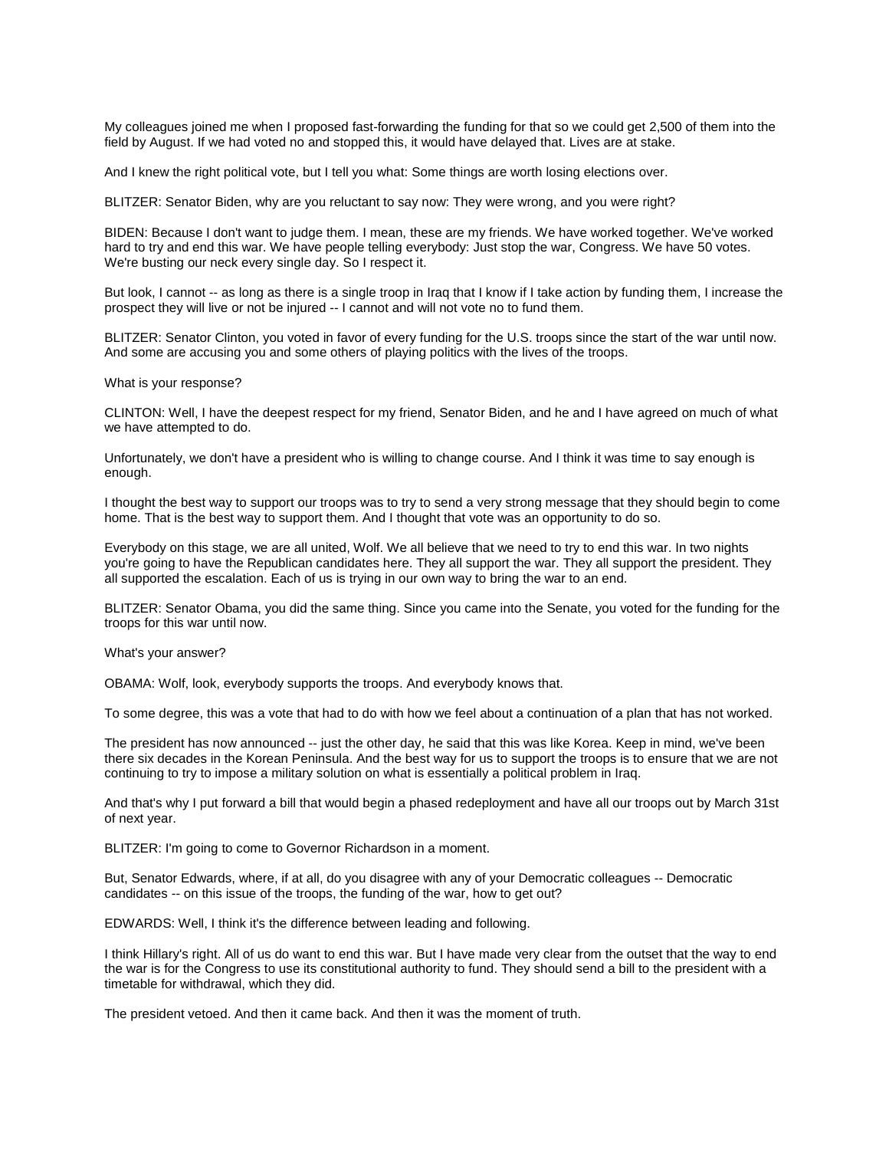My colleagues joined me when I proposed fast-forwarding the funding for that so we could get 2,500 of them into the field by August. If we had voted no and stopped this, it would have delayed that. Lives are at stake.

And I knew the right political vote, but I tell you what: Some things are worth losing elections over.

BLITZER: Senator Biden, why are you reluctant to say now: They were wrong, and you were right?

BIDEN: Because I don't want to judge them. I mean, these are my friends. We have worked together. We've worked hard to try and end this war. We have people telling everybody: Just stop the war, Congress. We have 50 votes. We're busting our neck every single day. So I respect it.

But look, I cannot -- as long as there is a single troop in Iraq that I know if I take action by funding them, I increase the prospect they will live or not be injured -- I cannot and will not vote no to fund them.

BLITZER: Senator Clinton, you voted in favor of every funding for the U.S. troops since the start of the war until now. And some are accusing you and some others of playing politics with the lives of the troops.

#### What is your response?

CLINTON: Well, I have the deepest respect for my friend, Senator Biden, and he and I have agreed on much of what we have attempted to do.

Unfortunately, we don't have a president who is willing to change course. And I think it was time to say enough is enough.

I thought the best way to support our troops was to try to send a very strong message that they should begin to come home. That is the best way to support them. And I thought that vote was an opportunity to do so.

Everybody on this stage, we are all united, Wolf. We all believe that we need to try to end this war. In two nights you're going to have the Republican candidates here. They all support the war. They all support the president. They all supported the escalation. Each of us is trying in our own way to bring the war to an end.

BLITZER: Senator Obama, you did the same thing. Since you came into the Senate, you voted for the funding for the troops for this war until now.

What's your answer?

OBAMA: Wolf, look, everybody supports the troops. And everybody knows that.

To some degree, this was a vote that had to do with how we feel about a continuation of a plan that has not worked.

The president has now announced -- just the other day, he said that this was like Korea. Keep in mind, we've been there six decades in the Korean Peninsula. And the best way for us to support the troops is to ensure that we are not continuing to try to impose a military solution on what is essentially a political problem in Iraq.

And that's why I put forward a bill that would begin a phased redeployment and have all our troops out by March 31st of next year.

BLITZER: I'm going to come to Governor Richardson in a moment.

But, Senator Edwards, where, if at all, do you disagree with any of your Democratic colleagues -- Democratic candidates -- on this issue of the troops, the funding of the war, how to get out?

EDWARDS: Well, I think it's the difference between leading and following.

I think Hillary's right. All of us do want to end this war. But I have made very clear from the outset that the way to end the war is for the Congress to use its constitutional authority to fund. They should send a bill to the president with a timetable for withdrawal, which they did.

The president vetoed. And then it came back. And then it was the moment of truth.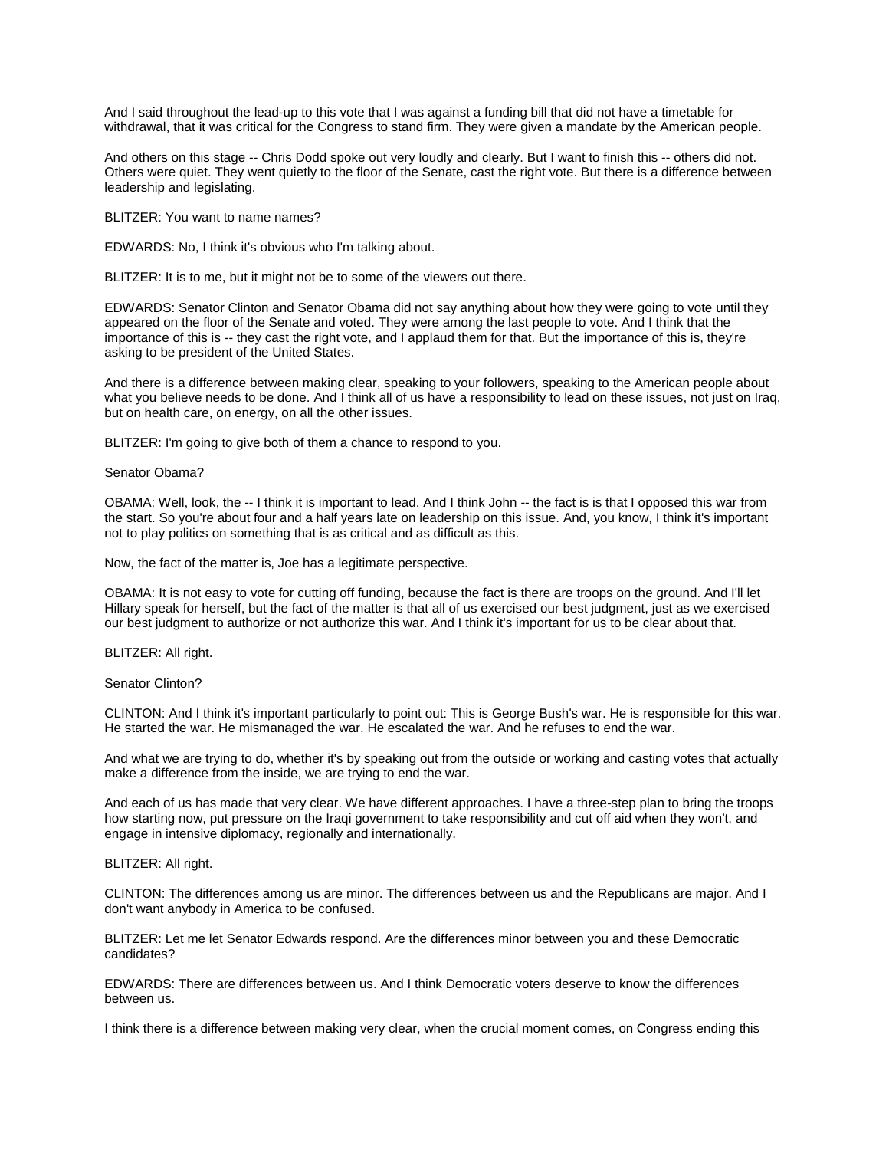And I said throughout the lead-up to this vote that I was against a funding bill that did not have a timetable for withdrawal, that it was critical for the Congress to stand firm. They were given a mandate by the American people.

And others on this stage -- Chris Dodd spoke out very loudly and clearly. But I want to finish this -- others did not. Others were quiet. They went quietly to the floor of the Senate, cast the right vote. But there is a difference between leadership and legislating.

BLITZER: You want to name names?

EDWARDS: No, I think it's obvious who I'm talking about.

BLITZER: It is to me, but it might not be to some of the viewers out there.

EDWARDS: Senator Clinton and Senator Obama did not say anything about how they were going to vote until they appeared on the floor of the Senate and voted. They were among the last people to vote. And I think that the importance of this is -- they cast the right vote, and I applaud them for that. But the importance of this is, they're asking to be president of the United States.

And there is a difference between making clear, speaking to your followers, speaking to the American people about what you believe needs to be done. And I think all of us have a responsibility to lead on these issues, not just on Iraq, but on health care, on energy, on all the other issues.

BLITZER: I'm going to give both of them a chance to respond to you.

### Senator Obama?

OBAMA: Well, look, the -- I think it is important to lead. And I think John -- the fact is is that I opposed this war from the start. So you're about four and a half years late on leadership on this issue. And, you know, I think it's important not to play politics on something that is as critical and as difficult as this.

Now, the fact of the matter is, Joe has a legitimate perspective.

OBAMA: It is not easy to vote for cutting off funding, because the fact is there are troops on the ground. And I'll let Hillary speak for herself, but the fact of the matter is that all of us exercised our best judgment, just as we exercised our best judgment to authorize or not authorize this war. And I think it's important for us to be clear about that.

### BLITZER: All right.

#### Senator Clinton?

CLINTON: And I think it's important particularly to point out: This is George Bush's war. He is responsible for this war. He started the war. He mismanaged the war. He escalated the war. And he refuses to end the war.

And what we are trying to do, whether it's by speaking out from the outside or working and casting votes that actually make a difference from the inside, we are trying to end the war.

And each of us has made that very clear. We have different approaches. I have a three-step plan to bring the troops how starting now, put pressure on the Iraqi government to take responsibility and cut off aid when they won't, and engage in intensive diplomacy, regionally and internationally.

## BLITZER: All right.

CLINTON: The differences among us are minor. The differences between us and the Republicans are major. And I don't want anybody in America to be confused.

BLITZER: Let me let Senator Edwards respond. Are the differences minor between you and these Democratic candidates?

EDWARDS: There are differences between us. And I think Democratic voters deserve to know the differences between us.

I think there is a difference between making very clear, when the crucial moment comes, on Congress ending this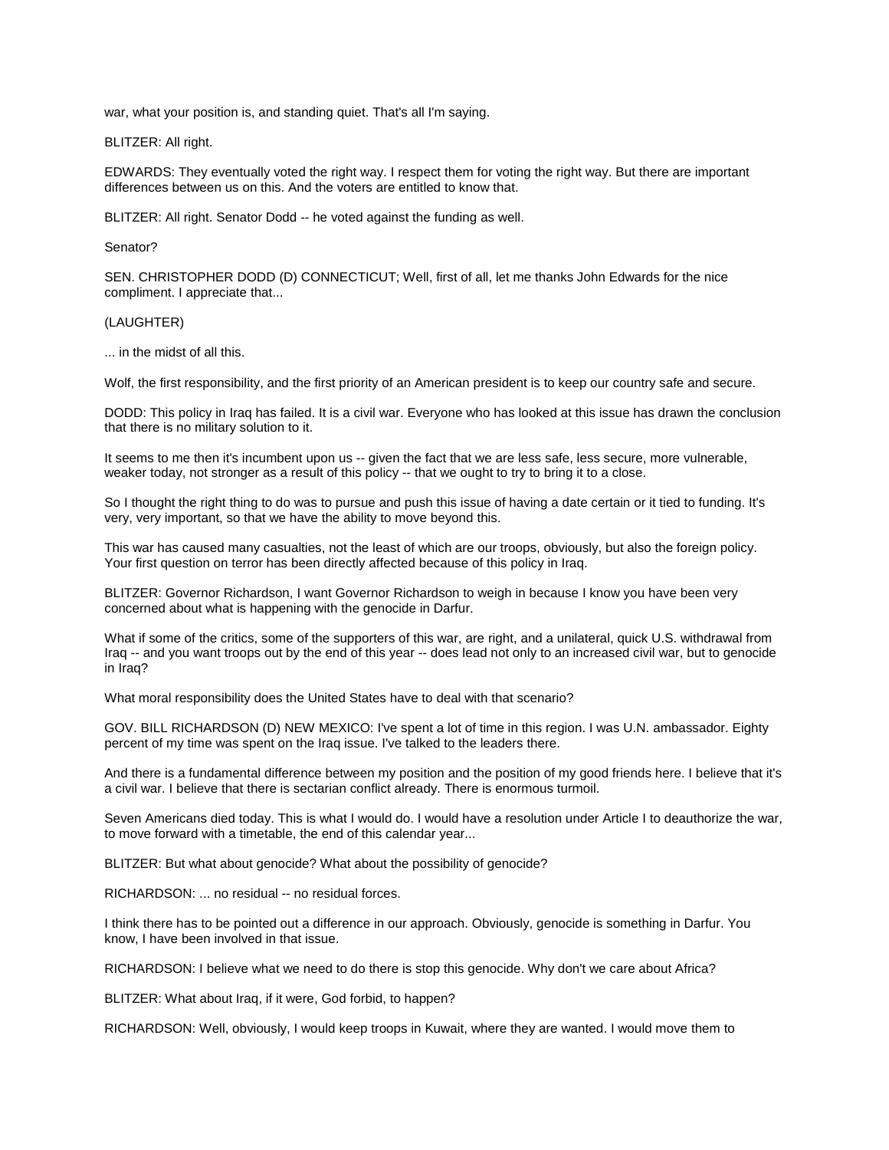war, what your position is, and standing quiet. That's all I'm saying.

BLITZER: All right.

EDWARDS: They eventually voted the right way. I respect them for voting the right way. But there are important differences between us on this. And the voters are entitled to know that.

BLITZER: All right. Senator Dodd -- he voted against the funding as well.

Senator?

SEN. CHRISTOPHER DODD (D) CONNECTICUT; Well, first of all, let me thanks John Edwards for the nice compliment. I appreciate that...

(LAUGHTER)

... in the midst of all this.

Wolf, the first responsibility, and the first priority of an American president is to keep our country safe and secure.

DODD: This policy in Iraq has failed. It is a civil war. Everyone who has looked at this issue has drawn the conclusion that there is no military solution to it.

It seems to me then it's incumbent upon us -- given the fact that we are less safe, less secure, more vulnerable, weaker today, not stronger as a result of this policy -- that we ought to try to bring it to a close.

So I thought the right thing to do was to pursue and push this issue of having a date certain or it tied to funding. It's very, very important, so that we have the ability to move beyond this.

This war has caused many casualties, not the least of which are our troops, obviously, but also the foreign policy. Your first question on terror has been directly affected because of this policy in Iraq.

BLITZER: Governor Richardson, I want Governor Richardson to weigh in because I know you have been very concerned about what is happening with the genocide in Darfur.

What if some of the critics, some of the supporters of this war, are right, and a unilateral, quick U.S. withdrawal from Iraq -- and you want troops out by the end of this year -- does lead not only to an increased civil war, but to genocide in Iraq?

What moral responsibility does the United States have to deal with that scenario?

GOV. BILL RICHARDSON (D) NEW MEXICO: I've spent a lot of time in this region. I was U.N. ambassador. Eighty percent of my time was spent on the Iraq issue. I've talked to the leaders there.

And there is a fundamental difference between my position and the position of my good friends here. I believe that it's a civil war. I believe that there is sectarian conflict already. There is enormous turmoil.

Seven Americans died today. This is what I would do. I would have a resolution under Article I to deauthorize the war, to move forward with a timetable, the end of this calendar year...

BLITZER: But what about genocide? What about the possibility of genocide?

RICHARDSON: ... no residual -- no residual forces.

I think there has to be pointed out a difference in our approach. Obviously, genocide is something in Darfur. You know, I have been involved in that issue.

RICHARDSON: I believe what we need to do there is stop this genocide. Why don't we care about Africa?

BLITZER: What about Iraq, if it were, God forbid, to happen?

RICHARDSON: Well, obviously, I would keep troops in Kuwait, where they are wanted. I would move them to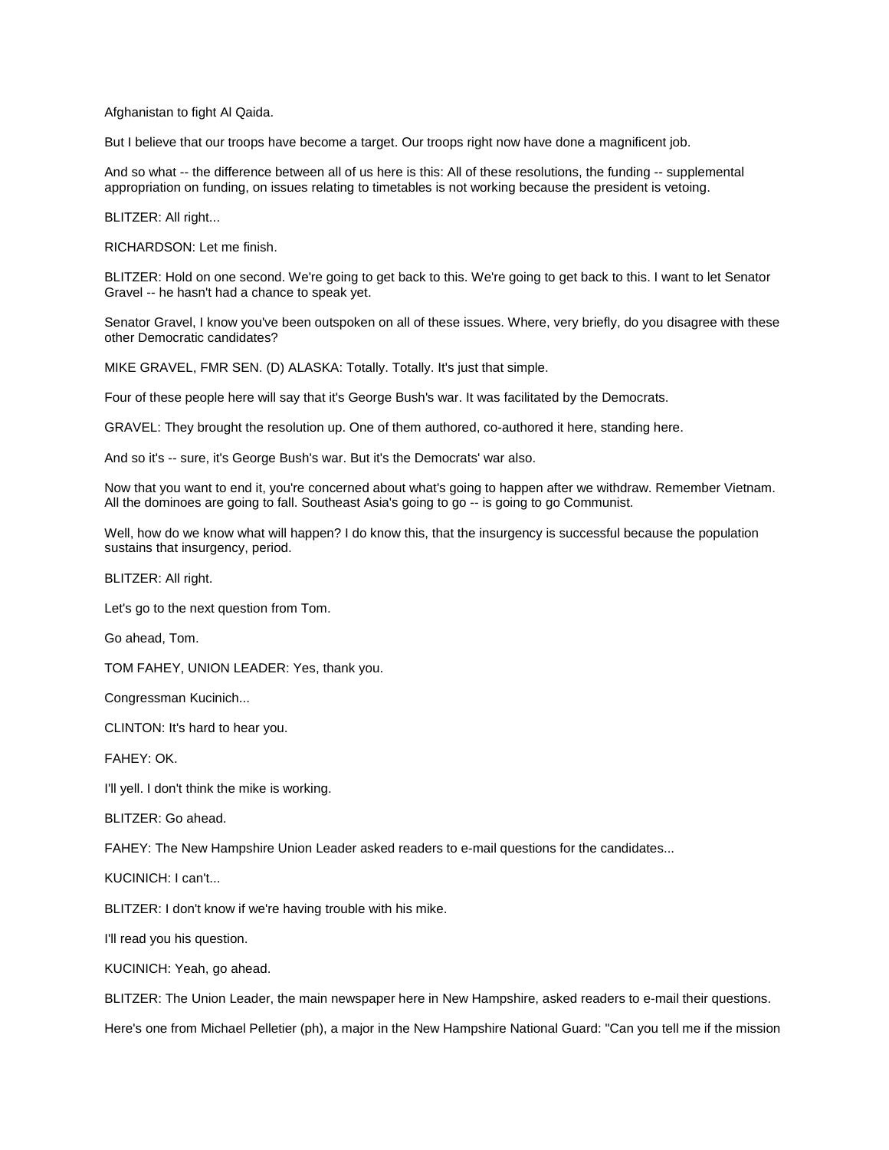Afghanistan to fight Al Qaida.

But I believe that our troops have become a target. Our troops right now have done a magnificent job.

And so what -- the difference between all of us here is this: All of these resolutions, the funding -- supplemental appropriation on funding, on issues relating to timetables is not working because the president is vetoing.

BLITZER: All right...

RICHARDSON: Let me finish.

BLITZER: Hold on one second. We're going to get back to this. We're going to get back to this. I want to let Senator Gravel -- he hasn't had a chance to speak yet.

Senator Gravel, I know you've been outspoken on all of these issues. Where, very briefly, do you disagree with these other Democratic candidates?

MIKE GRAVEL, FMR SEN. (D) ALASKA: Totally. Totally. It's just that simple.

Four of these people here will say that it's George Bush's war. It was facilitated by the Democrats.

GRAVEL: They brought the resolution up. One of them authored, co-authored it here, standing here.

And so it's -- sure, it's George Bush's war. But it's the Democrats' war also.

Now that you want to end it, you're concerned about what's going to happen after we withdraw. Remember Vietnam. All the dominoes are going to fall. Southeast Asia's going to go -- is going to go Communist.

Well, how do we know what will happen? I do know this, that the insurgency is successful because the population sustains that insurgency, period.

BLITZER: All right.

Let's go to the next question from Tom.

Go ahead, Tom.

TOM FAHEY, UNION LEADER: Yes, thank you.

Congressman Kucinich...

CLINTON: It's hard to hear you.

FAHEY: OK.

I'll yell. I don't think the mike is working.

BLITZER: Go ahead.

FAHEY: The New Hampshire Union Leader asked readers to e-mail questions for the candidates...

KUCINICH: I can't...

BLITZER: I don't know if we're having trouble with his mike.

I'll read you his question.

KUCINICH: Yeah, go ahead.

BLITZER: The Union Leader, the main newspaper here in New Hampshire, asked readers to e-mail their questions.

Here's one from Michael Pelletier (ph), a major in the New Hampshire National Guard: "Can you tell me if the mission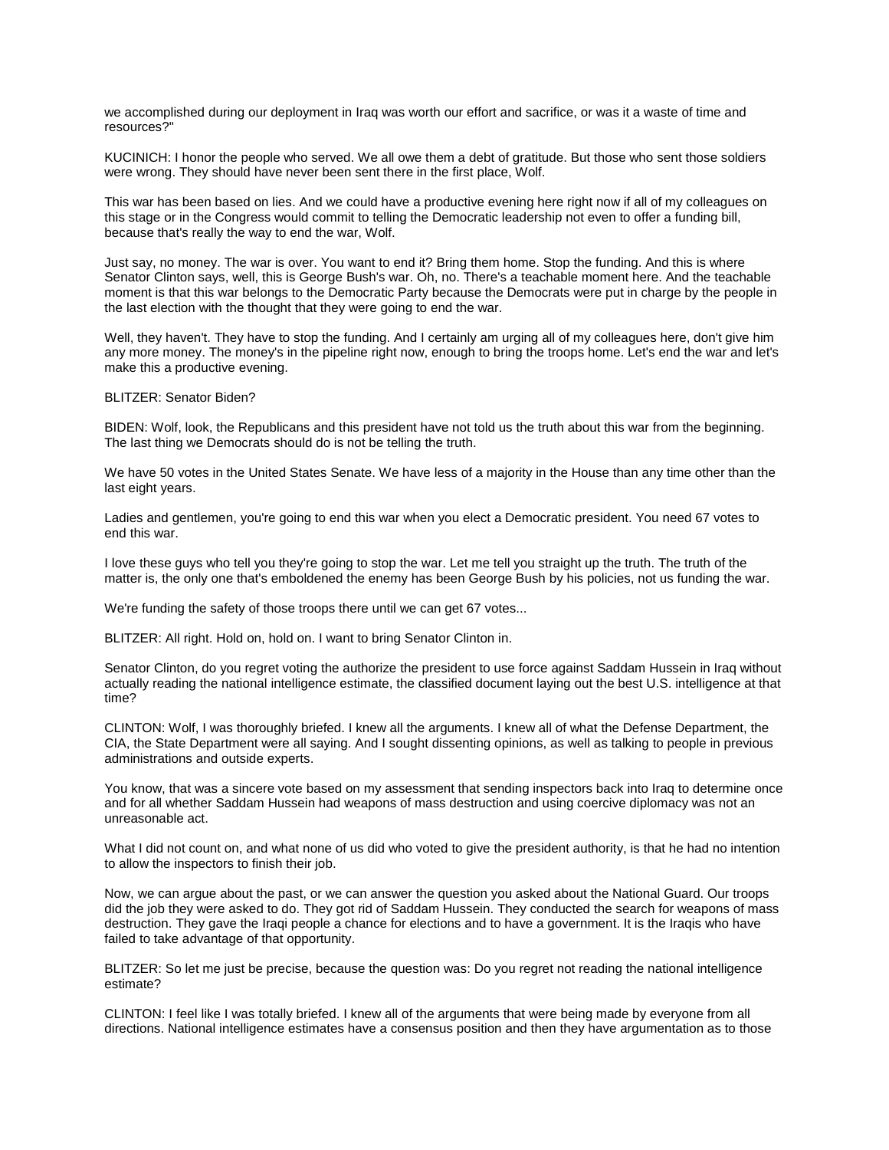we accomplished during our deployment in Iraq was worth our effort and sacrifice, or was it a waste of time and resources?"

KUCINICH: I honor the people who served. We all owe them a debt of gratitude. But those who sent those soldiers were wrong. They should have never been sent there in the first place, Wolf.

This war has been based on lies. And we could have a productive evening here right now if all of my colleagues on this stage or in the Congress would commit to telling the Democratic leadership not even to offer a funding bill, because that's really the way to end the war, Wolf.

Just say, no money. The war is over. You want to end it? Bring them home. Stop the funding. And this is where Senator Clinton says, well, this is George Bush's war. Oh, no. There's a teachable moment here. And the teachable moment is that this war belongs to the Democratic Party because the Democrats were put in charge by the people in the last election with the thought that they were going to end the war.

Well, they haven't. They have to stop the funding. And I certainly am urging all of my colleagues here, don't give him any more money. The money's in the pipeline right now, enough to bring the troops home. Let's end the war and let's make this a productive evening.

BLITZER: Senator Biden?

BIDEN: Wolf, look, the Republicans and this president have not told us the truth about this war from the beginning. The last thing we Democrats should do is not be telling the truth.

We have 50 votes in the United States Senate. We have less of a majority in the House than any time other than the last eight years.

Ladies and gentlemen, you're going to end this war when you elect a Democratic president. You need 67 votes to end this war.

I love these guys who tell you they're going to stop the war. Let me tell you straight up the truth. The truth of the matter is, the only one that's emboldened the enemy has been George Bush by his policies, not us funding the war.

We're funding the safety of those troops there until we can get 67 votes...

BLITZER: All right. Hold on, hold on. I want to bring Senator Clinton in.

Senator Clinton, do you regret voting the authorize the president to use force against Saddam Hussein in Iraq without actually reading the national intelligence estimate, the classified document laying out the best U.S. intelligence at that time?

CLINTON: Wolf, I was thoroughly briefed. I knew all the arguments. I knew all of what the Defense Department, the CIA, the State Department were all saying. And I sought dissenting opinions, as well as talking to people in previous administrations and outside experts.

You know, that was a sincere vote based on my assessment that sending inspectors back into Iraq to determine once and for all whether Saddam Hussein had weapons of mass destruction and using coercive diplomacy was not an unreasonable act.

What I did not count on, and what none of us did who voted to give the president authority, is that he had no intention to allow the inspectors to finish their job.

Now, we can argue about the past, or we can answer the question you asked about the National Guard. Our troops did the job they were asked to do. They got rid of Saddam Hussein. They conducted the search for weapons of mass destruction. They gave the Iraqi people a chance for elections and to have a government. It is the Iraqis who have failed to take advantage of that opportunity.

BLITZER: So let me just be precise, because the question was: Do you regret not reading the national intelligence estimate?

CLINTON: I feel like I was totally briefed. I knew all of the arguments that were being made by everyone from all directions. National intelligence estimates have a consensus position and then they have argumentation as to those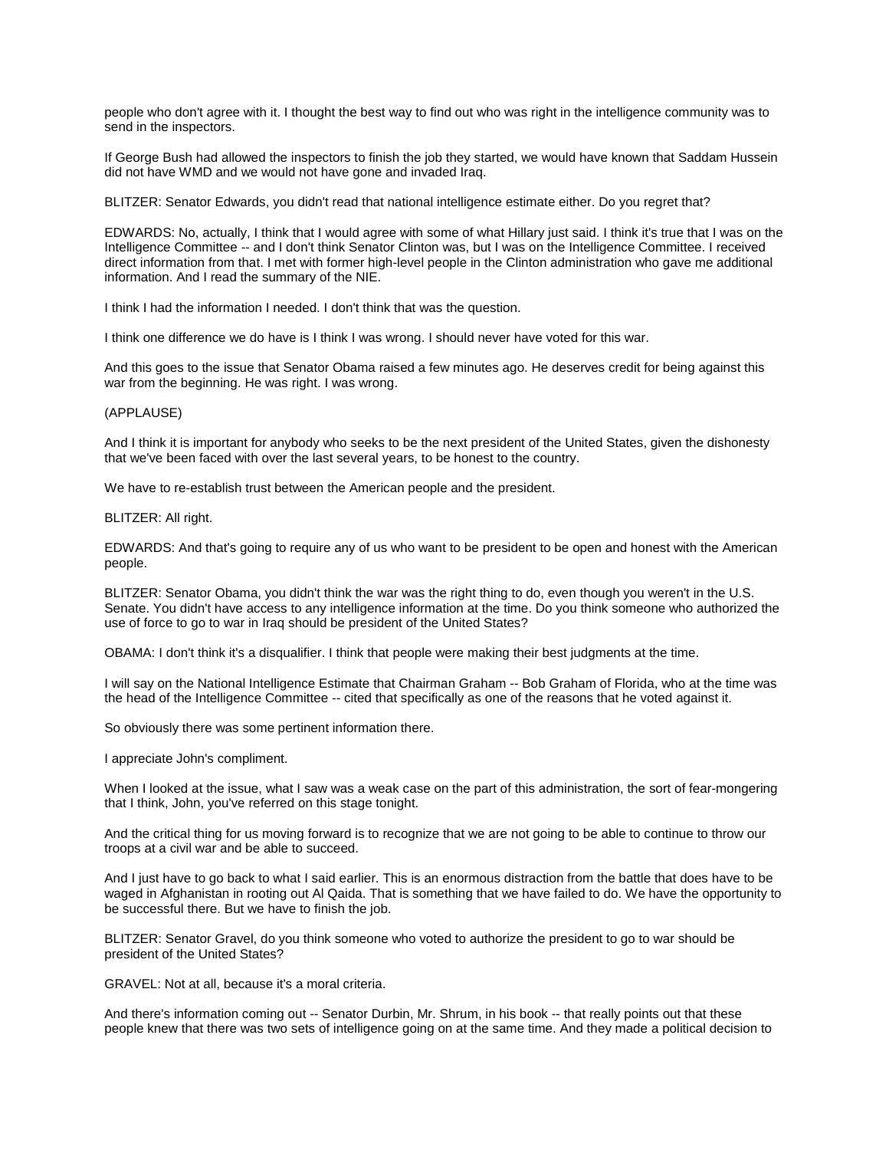people who don't agree with it. I thought the best way to find out who was right in the intelligence community was to send in the inspectors.

If George Bush had allowed the inspectors to finish the job they started, we would have known that Saddam Hussein did not have WMD and we would not have gone and invaded Iraq.

BLITZER: Senator Edwards, you didn't read that national intelligence estimate either. Do you regret that?

EDWARDS: No, actually, I think that I would agree with some of what Hillary just said. I think it's true that I was on the Intelligence Committee -- and I don't think Senator Clinton was, but I was on the Intelligence Committee. I received direct information from that. I met with former high-level people in the Clinton administration who gave me additional information. And I read the summary of the NIE.

I think I had the information I needed. I don't think that was the question.

I think one difference we do have is I think I was wrong. I should never have voted for this war.

And this goes to the issue that Senator Obama raised a few minutes ago. He deserves credit for being against this war from the beginning. He was right. I was wrong.

# (APPLAUSE)

And I think it is important for anybody who seeks to be the next president of the United States, given the dishonesty that we've been faced with over the last several years, to be honest to the country.

We have to re-establish trust between the American people and the president.

#### BLITZER: All right.

EDWARDS: And that's going to require any of us who want to be president to be open and honest with the American people.

BLITZER: Senator Obama, you didn't think the war was the right thing to do, even though you weren't in the U.S. Senate. You didn't have access to any intelligence information at the time. Do you think someone who authorized the use of force to go to war in Iraq should be president of the United States?

OBAMA: I don't think it's a disqualifier. I think that people were making their best judgments at the time.

I will say on the National Intelligence Estimate that Chairman Graham -- Bob Graham of Florida, who at the time was the head of the Intelligence Committee -- cited that specifically as one of the reasons that he voted against it.

So obviously there was some pertinent information there.

I appreciate John's compliment.

When I looked at the issue, what I saw was a weak case on the part of this administration, the sort of fear-mongering that I think, John, you've referred on this stage tonight.

And the critical thing for us moving forward is to recognize that we are not going to be able to continue to throw our troops at a civil war and be able to succeed.

And I just have to go back to what I said earlier. This is an enormous distraction from the battle that does have to be waged in Afghanistan in rooting out Al Qaida. That is something that we have failed to do. We have the opportunity to be successful there. But we have to finish the job.

BLITZER: Senator Gravel, do you think someone who voted to authorize the president to go to war should be president of the United States?

GRAVEL: Not at all, because it's a moral criteria.

And there's information coming out -- Senator Durbin, Mr. Shrum, in his book -- that really points out that these people knew that there was two sets of intelligence going on at the same time. And they made a political decision to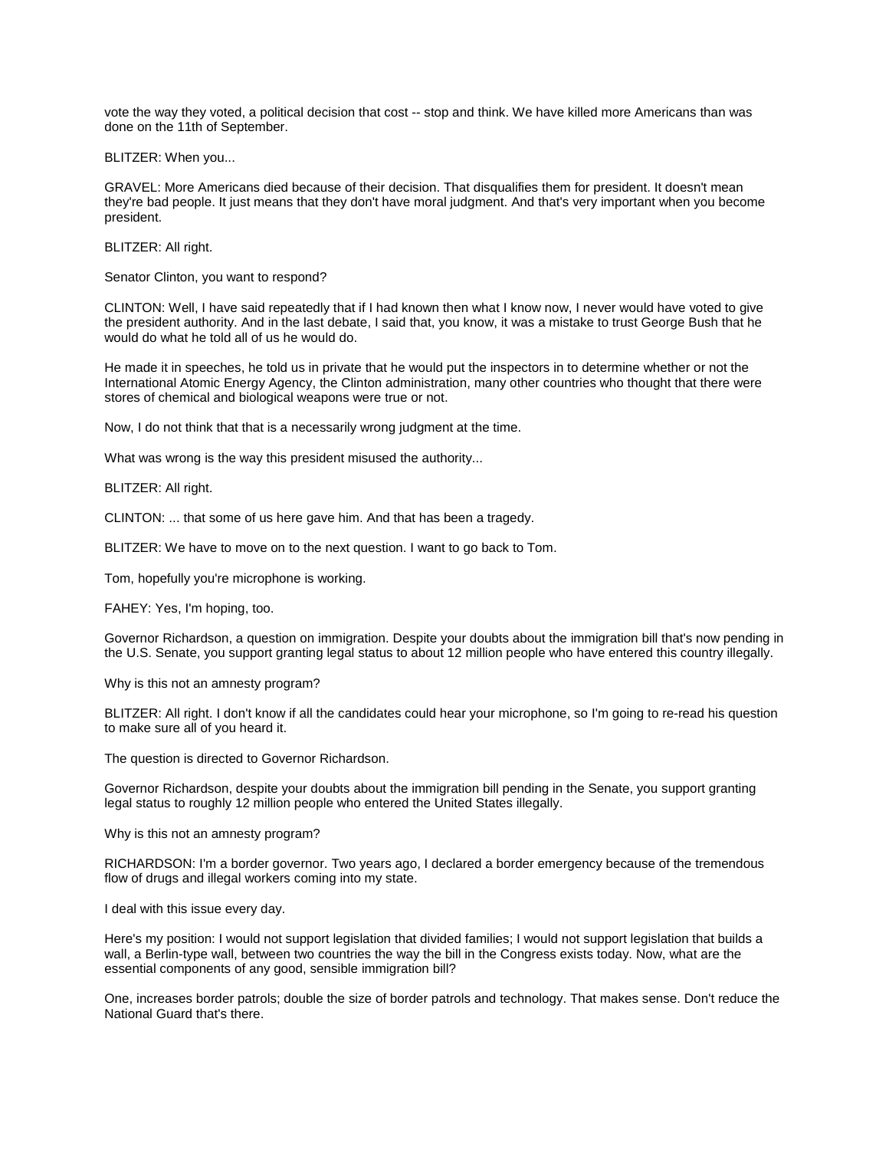vote the way they voted, a political decision that cost -- stop and think. We have killed more Americans than was done on the 11th of September.

BLITZER: When you...

GRAVEL: More Americans died because of their decision. That disqualifies them for president. It doesn't mean they're bad people. It just means that they don't have moral judgment. And that's very important when you become president.

BLITZER: All right.

Senator Clinton, you want to respond?

CLINTON: Well, I have said repeatedly that if I had known then what I know now, I never would have voted to give the president authority. And in the last debate, I said that, you know, it was a mistake to trust George Bush that he would do what he told all of us he would do.

He made it in speeches, he told us in private that he would put the inspectors in to determine whether or not the International Atomic Energy Agency, the Clinton administration, many other countries who thought that there were stores of chemical and biological weapons were true or not.

Now, I do not think that that is a necessarily wrong judgment at the time.

What was wrong is the way this president misused the authority...

BLITZER: All right.

CLINTON: ... that some of us here gave him. And that has been a tragedy.

BLITZER: We have to move on to the next question. I want to go back to Tom.

Tom, hopefully you're microphone is working.

FAHEY: Yes, I'm hoping, too.

Governor Richardson, a question on immigration. Despite your doubts about the immigration bill that's now pending in the U.S. Senate, you support granting legal status to about 12 million people who have entered this country illegally.

Why is this not an amnesty program?

BLITZER: All right. I don't know if all the candidates could hear your microphone, so I'm going to re-read his question to make sure all of you heard it.

The question is directed to Governor Richardson.

Governor Richardson, despite your doubts about the immigration bill pending in the Senate, you support granting legal status to roughly 12 million people who entered the United States illegally.

Why is this not an amnesty program?

RICHARDSON: I'm a border governor. Two years ago, I declared a border emergency because of the tremendous flow of drugs and illegal workers coming into my state.

I deal with this issue every day.

Here's my position: I would not support legislation that divided families; I would not support legislation that builds a wall, a Berlin-type wall, between two countries the way the bill in the Congress exists today. Now, what are the essential components of any good, sensible immigration bill?

One, increases border patrols; double the size of border patrols and technology. That makes sense. Don't reduce the National Guard that's there.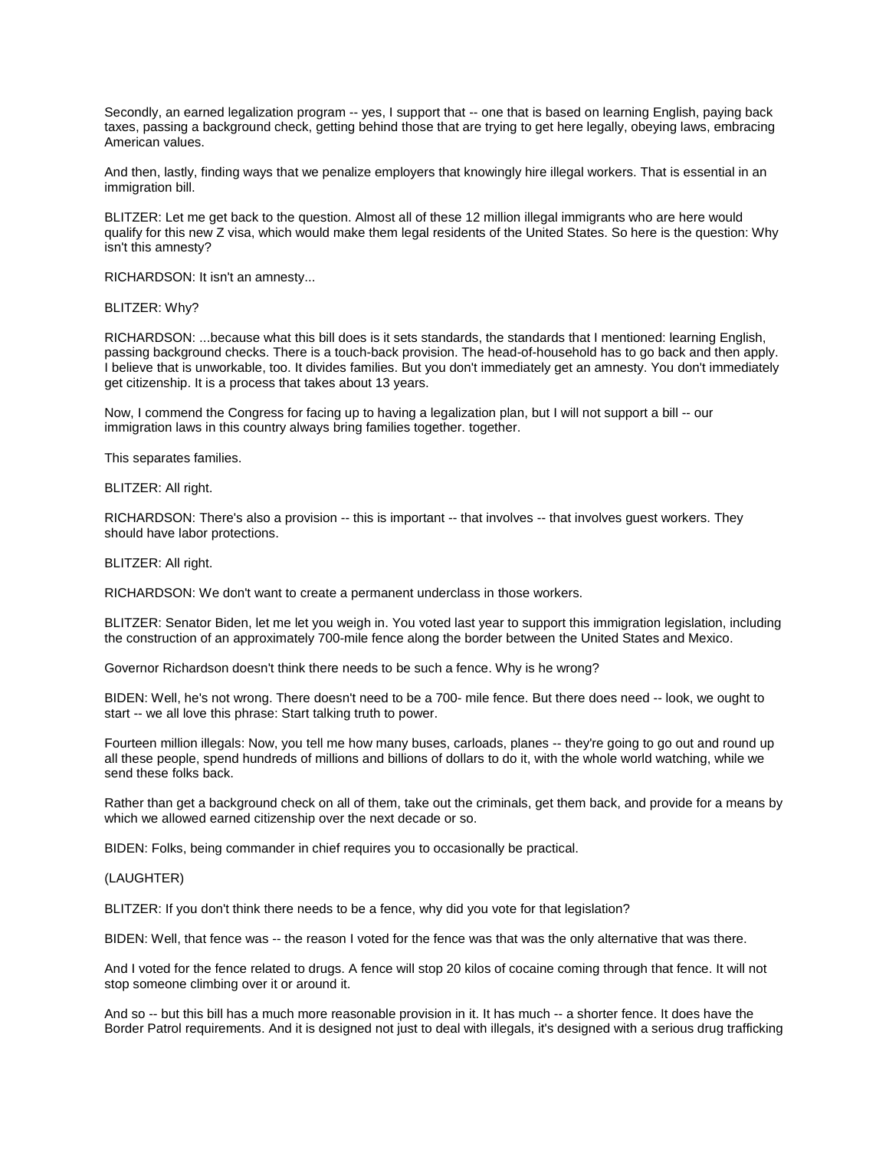Secondly, an earned legalization program -- yes, I support that -- one that is based on learning English, paying back taxes, passing a background check, getting behind those that are trying to get here legally, obeying laws, embracing American values.

And then, lastly, finding ways that we penalize employers that knowingly hire illegal workers. That is essential in an immigration bill.

BLITZER: Let me get back to the question. Almost all of these 12 million illegal immigrants who are here would qualify for this new Z visa, which would make them legal residents of the United States. So here is the question: Why isn't this amnesty?

RICHARDSON: It isn't an amnesty...

BLITZER: Why?

RICHARDSON: ...because what this bill does is it sets standards, the standards that I mentioned: learning English, passing background checks. There is a touch-back provision. The head-of-household has to go back and then apply. I believe that is unworkable, too. It divides families. But you don't immediately get an amnesty. You don't immediately get citizenship. It is a process that takes about 13 years.

Now, I commend the Congress for facing up to having a legalization plan, but I will not support a bill -- our immigration laws in this country always bring families together. together.

This separates families.

BLITZER: All right.

RICHARDSON: There's also a provision -- this is important -- that involves -- that involves guest workers. They should have labor protections.

BLITZER: All right.

RICHARDSON: We don't want to create a permanent underclass in those workers.

BLITZER: Senator Biden, let me let you weigh in. You voted last year to support this immigration legislation, including the construction of an approximately 700-mile fence along the border between the United States and Mexico.

Governor Richardson doesn't think there needs to be such a fence. Why is he wrong?

BIDEN: Well, he's not wrong. There doesn't need to be a 700- mile fence. But there does need -- look, we ought to start -- we all love this phrase: Start talking truth to power.

Fourteen million illegals: Now, you tell me how many buses, carloads, planes -- they're going to go out and round up all these people, spend hundreds of millions and billions of dollars to do it, with the whole world watching, while we send these folks back.

Rather than get a background check on all of them, take out the criminals, get them back, and provide for a means by which we allowed earned citizenship over the next decade or so.

BIDEN: Folks, being commander in chief requires you to occasionally be practical.

### (LAUGHTER)

BLITZER: If you don't think there needs to be a fence, why did you vote for that legislation?

BIDEN: Well, that fence was -- the reason I voted for the fence was that was the only alternative that was there.

And I voted for the fence related to drugs. A fence will stop 20 kilos of cocaine coming through that fence. It will not stop someone climbing over it or around it.

And so -- but this bill has a much more reasonable provision in it. It has much -- a shorter fence. It does have the Border Patrol requirements. And it is designed not just to deal with illegals, it's designed with a serious drug trafficking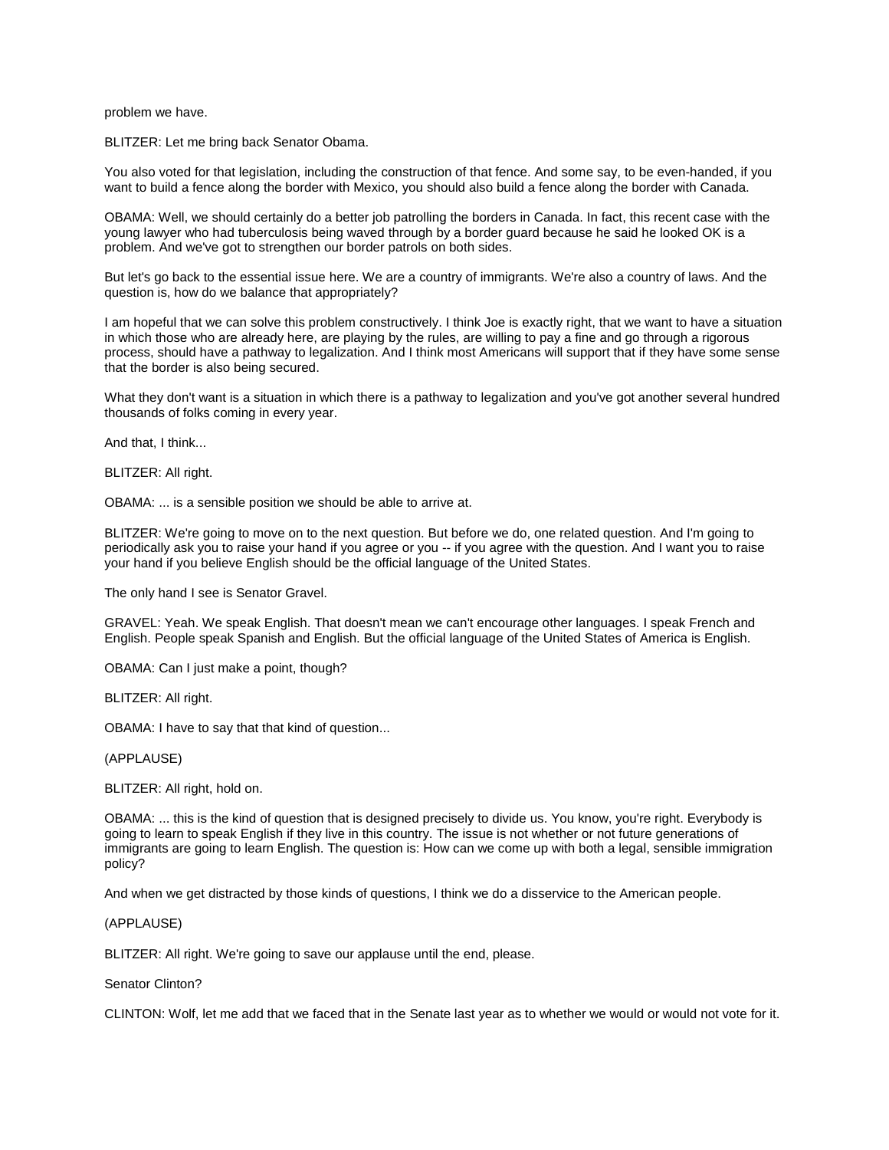problem we have.

BLITZER: Let me bring back Senator Obama.

You also voted for that legislation, including the construction of that fence. And some say, to be even-handed, if you want to build a fence along the border with Mexico, you should also build a fence along the border with Canada.

OBAMA: Well, we should certainly do a better job patrolling the borders in Canada. In fact, this recent case with the young lawyer who had tuberculosis being waved through by a border guard because he said he looked OK is a problem. And we've got to strengthen our border patrols on both sides.

But let's go back to the essential issue here. We are a country of immigrants. We're also a country of laws. And the question is, how do we balance that appropriately?

I am hopeful that we can solve this problem constructively. I think Joe is exactly right, that we want to have a situation in which those who are already here, are playing by the rules, are willing to pay a fine and go through a rigorous process, should have a pathway to legalization. And I think most Americans will support that if they have some sense that the border is also being secured.

What they don't want is a situation in which there is a pathway to legalization and you've got another several hundred thousands of folks coming in every year.

And that, I think...

BLITZER: All right.

OBAMA: ... is a sensible position we should be able to arrive at.

BLITZER: We're going to move on to the next question. But before we do, one related question. And I'm going to periodically ask you to raise your hand if you agree or you -- if you agree with the question. And I want you to raise your hand if you believe English should be the official language of the United States.

The only hand I see is Senator Gravel.

GRAVEL: Yeah. We speak English. That doesn't mean we can't encourage other languages. I speak French and English. People speak Spanish and English. But the official language of the United States of America is English.

OBAMA: Can I just make a point, though?

BLITZER: All right.

OBAMA: I have to say that that kind of question...

(APPLAUSE)

BLITZER: All right, hold on.

OBAMA: ... this is the kind of question that is designed precisely to divide us. You know, you're right. Everybody is going to learn to speak English if they live in this country. The issue is not whether or not future generations of immigrants are going to learn English. The question is: How can we come up with both a legal, sensible immigration policy?

And when we get distracted by those kinds of questions, I think we do a disservice to the American people.

(APPLAUSE)

BLITZER: All right. We're going to save our applause until the end, please.

Senator Clinton?

CLINTON: Wolf, let me add that we faced that in the Senate last year as to whether we would or would not vote for it.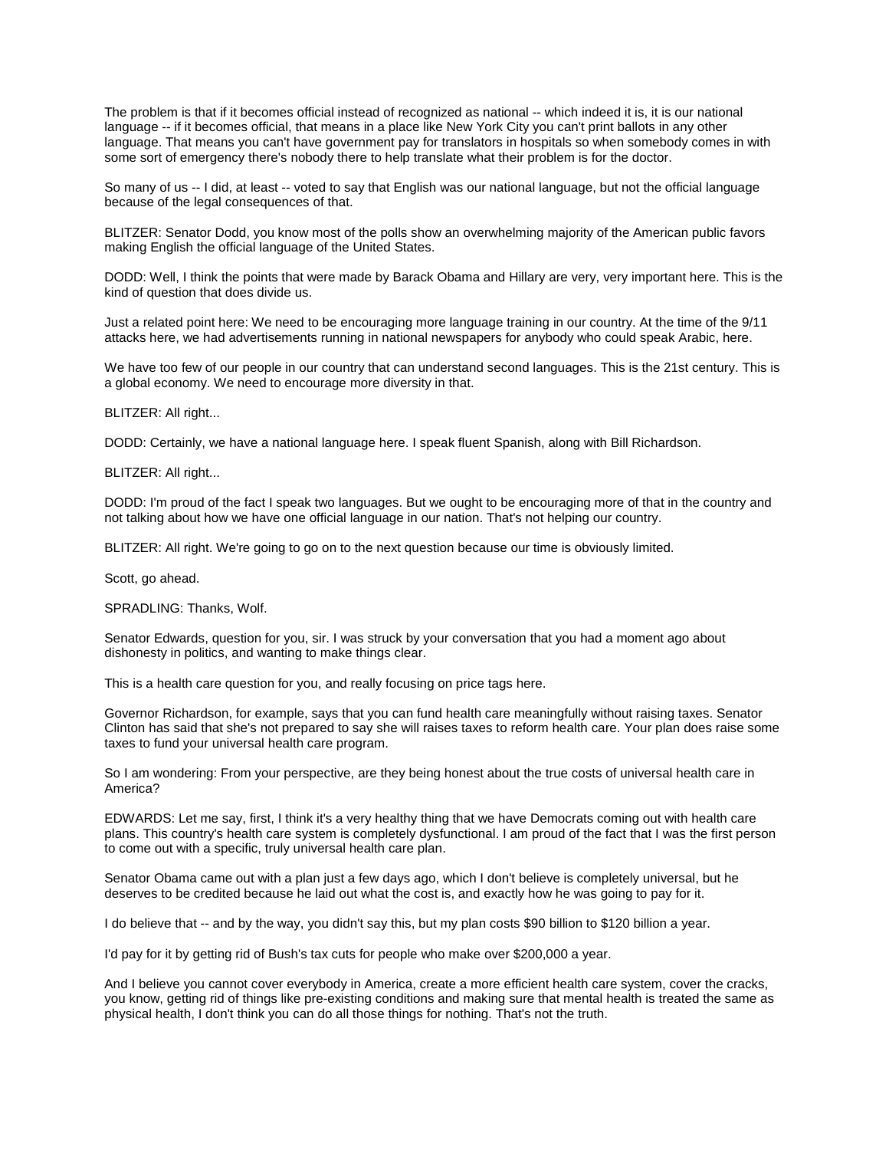The problem is that if it becomes official instead of recognized as national -- which indeed it is, it is our national language -- if it becomes official, that means in a place like New York City you can't print ballots in any other language. That means you can't have government pay for translators in hospitals so when somebody comes in with some sort of emergency there's nobody there to help translate what their problem is for the doctor.

So many of us -- I did, at least -- voted to say that English was our national language, but not the official language because of the legal consequences of that.

BLITZER: Senator Dodd, you know most of the polls show an overwhelming majority of the American public favors making English the official language of the United States.

DODD: Well, I think the points that were made by Barack Obama and Hillary are very, very important here. This is the kind of question that does divide us.

Just a related point here: We need to be encouraging more language training in our country. At the time of the 9/11 attacks here, we had advertisements running in national newspapers for anybody who could speak Arabic, here.

We have too few of our people in our country that can understand second languages. This is the 21st century. This is a global economy. We need to encourage more diversity in that.

BLITZER: All right...

DODD: Certainly, we have a national language here. I speak fluent Spanish, along with Bill Richardson.

BLITZER: All right...

DODD: I'm proud of the fact I speak two languages. But we ought to be encouraging more of that in the country and not talking about how we have one official language in our nation. That's not helping our country.

BLITZER: All right. We're going to go on to the next question because our time is obviously limited.

Scott, go ahead.

SPRADLING: Thanks, Wolf.

Senator Edwards, question for you, sir. I was struck by your conversation that you had a moment ago about dishonesty in politics, and wanting to make things clear.

This is a health care question for you, and really focusing on price tags here.

Governor Richardson, for example, says that you can fund health care meaningfully without raising taxes. Senator Clinton has said that she's not prepared to say she will raises taxes to reform health care. Your plan does raise some taxes to fund your universal health care program.

So I am wondering: From your perspective, are they being honest about the true costs of universal health care in America?

EDWARDS: Let me say, first, I think it's a very healthy thing that we have Democrats coming out with health care plans. This country's health care system is completely dysfunctional. I am proud of the fact that I was the first person to come out with a specific, truly universal health care plan.

Senator Obama came out with a plan just a few days ago, which I don't believe is completely universal, but he deserves to be credited because he laid out what the cost is, and exactly how he was going to pay for it.

I do believe that -- and by the way, you didn't say this, but my plan costs \$90 billion to \$120 billion a year.

I'd pay for it by getting rid of Bush's tax cuts for people who make over \$200,000 a year.

And I believe you cannot cover everybody in America, create a more efficient health care system, cover the cracks, you know, getting rid of things like pre-existing conditions and making sure that mental health is treated the same as physical health, I don't think you can do all those things for nothing. That's not the truth.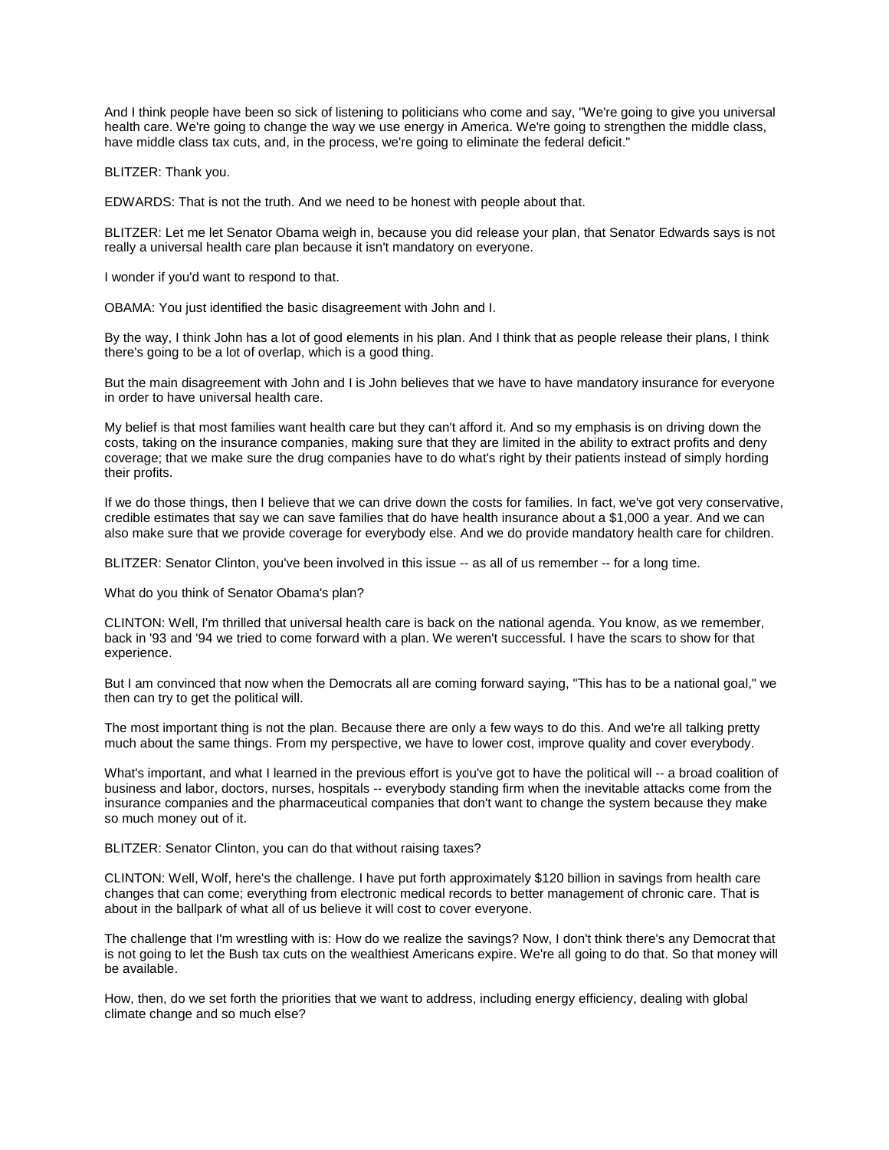And I think people have been so sick of listening to politicians who come and say, "We're going to give you universal health care. We're going to change the way we use energy in America. We're going to strengthen the middle class, have middle class tax cuts, and, in the process, we're going to eliminate the federal deficit."

BLITZER: Thank you.

EDWARDS: That is not the truth. And we need to be honest with people about that.

BLITZER: Let me let Senator Obama weigh in, because you did release your plan, that Senator Edwards says is not really a universal health care plan because it isn't mandatory on everyone.

I wonder if you'd want to respond to that.

OBAMA: You just identified the basic disagreement with John and I.

By the way, I think John has a lot of good elements in his plan. And I think that as people release their plans, I think there's going to be a lot of overlap, which is a good thing.

But the main disagreement with John and I is John believes that we have to have mandatory insurance for everyone in order to have universal health care.

My belief is that most families want health care but they can't afford it. And so my emphasis is on driving down the costs, taking on the insurance companies, making sure that they are limited in the ability to extract profits and deny coverage; that we make sure the drug companies have to do what's right by their patients instead of simply hording their profits.

If we do those things, then I believe that we can drive down the costs for families. In fact, we've got very conservative, credible estimates that say we can save families that do have health insurance about a \$1,000 a year. And we can also make sure that we provide coverage for everybody else. And we do provide mandatory health care for children.

BLITZER: Senator Clinton, you've been involved in this issue -- as all of us remember -- for a long time.

What do you think of Senator Obama's plan?

CLINTON: Well, I'm thrilled that universal health care is back on the national agenda. You know, as we remember, back in '93 and '94 we tried to come forward with a plan. We weren't successful. I have the scars to show for that experience.

But I am convinced that now when the Democrats all are coming forward saying, "This has to be a national goal," we then can try to get the political will.

The most important thing is not the plan. Because there are only a few ways to do this. And we're all talking pretty much about the same things. From my perspective, we have to lower cost, improve quality and cover everybody.

What's important, and what I learned in the previous effort is you've got to have the political will -- a broad coalition of business and labor, doctors, nurses, hospitals -- everybody standing firm when the inevitable attacks come from the insurance companies and the pharmaceutical companies that don't want to change the system because they make so much money out of it.

BLITZER: Senator Clinton, you can do that without raising taxes?

CLINTON: Well, Wolf, here's the challenge. I have put forth approximately \$120 billion in savings from health care changes that can come; everything from electronic medical records to better management of chronic care. That is about in the ballpark of what all of us believe it will cost to cover everyone.

The challenge that I'm wrestling with is: How do we realize the savings? Now, I don't think there's any Democrat that is not going to let the Bush tax cuts on the wealthiest Americans expire. We're all going to do that. So that money will be available.

How, then, do we set forth the priorities that we want to address, including energy efficiency, dealing with global climate change and so much else?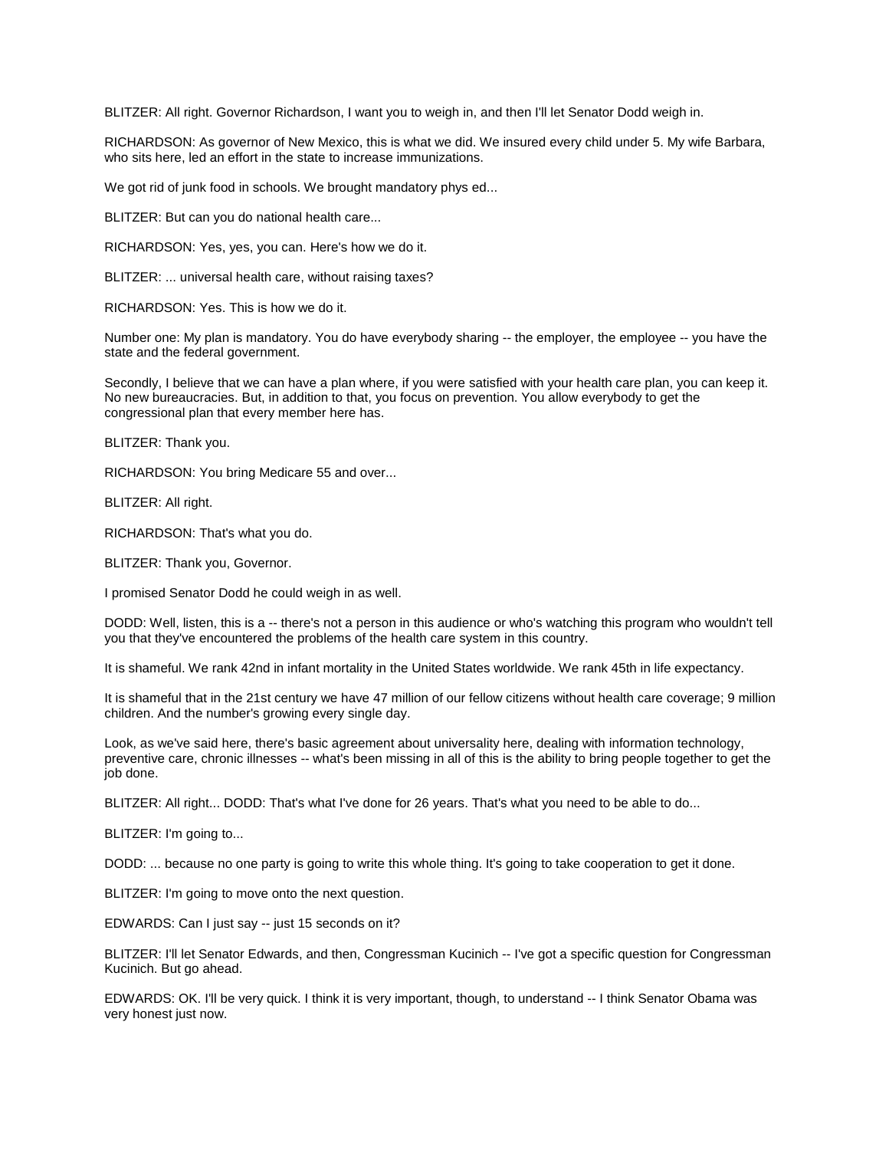BLITZER: All right. Governor Richardson, I want you to weigh in, and then I'll let Senator Dodd weigh in.

RICHARDSON: As governor of New Mexico, this is what we did. We insured every child under 5. My wife Barbara, who sits here, led an effort in the state to increase immunizations.

We got rid of junk food in schools. We brought mandatory phys ed...

BLITZER: But can you do national health care...

RICHARDSON: Yes, yes, you can. Here's how we do it.

BLITZER: ... universal health care, without raising taxes?

RICHARDSON: Yes. This is how we do it.

Number one: My plan is mandatory. You do have everybody sharing -- the employer, the employee -- you have the state and the federal government.

Secondly, I believe that we can have a plan where, if you were satisfied with your health care plan, you can keep it. No new bureaucracies. But, in addition to that, you focus on prevention. You allow everybody to get the congressional plan that every member here has.

BLITZER: Thank you.

RICHARDSON: You bring Medicare 55 and over...

BLITZER: All right.

RICHARDSON: That's what you do.

BLITZER: Thank you, Governor.

I promised Senator Dodd he could weigh in as well.

DODD: Well, listen, this is a -- there's not a person in this audience or who's watching this program who wouldn't tell you that they've encountered the problems of the health care system in this country.

It is shameful. We rank 42nd in infant mortality in the United States worldwide. We rank 45th in life expectancy.

It is shameful that in the 21st century we have 47 million of our fellow citizens without health care coverage; 9 million children. And the number's growing every single day.

Look, as we've said here, there's basic agreement about universality here, dealing with information technology, preventive care, chronic illnesses -- what's been missing in all of this is the ability to bring people together to get the job done.

BLITZER: All right... DODD: That's what I've done for 26 years. That's what you need to be able to do...

BLITZER: I'm going to...

DODD: ... because no one party is going to write this whole thing. It's going to take cooperation to get it done.

BLITZER: I'm going to move onto the next question.

EDWARDS: Can I just say -- just 15 seconds on it?

BLITZER: I'll let Senator Edwards, and then, Congressman Kucinich -- I've got a specific question for Congressman Kucinich. But go ahead.

EDWARDS: OK. I'll be very quick. I think it is very important, though, to understand -- I think Senator Obama was very honest just now.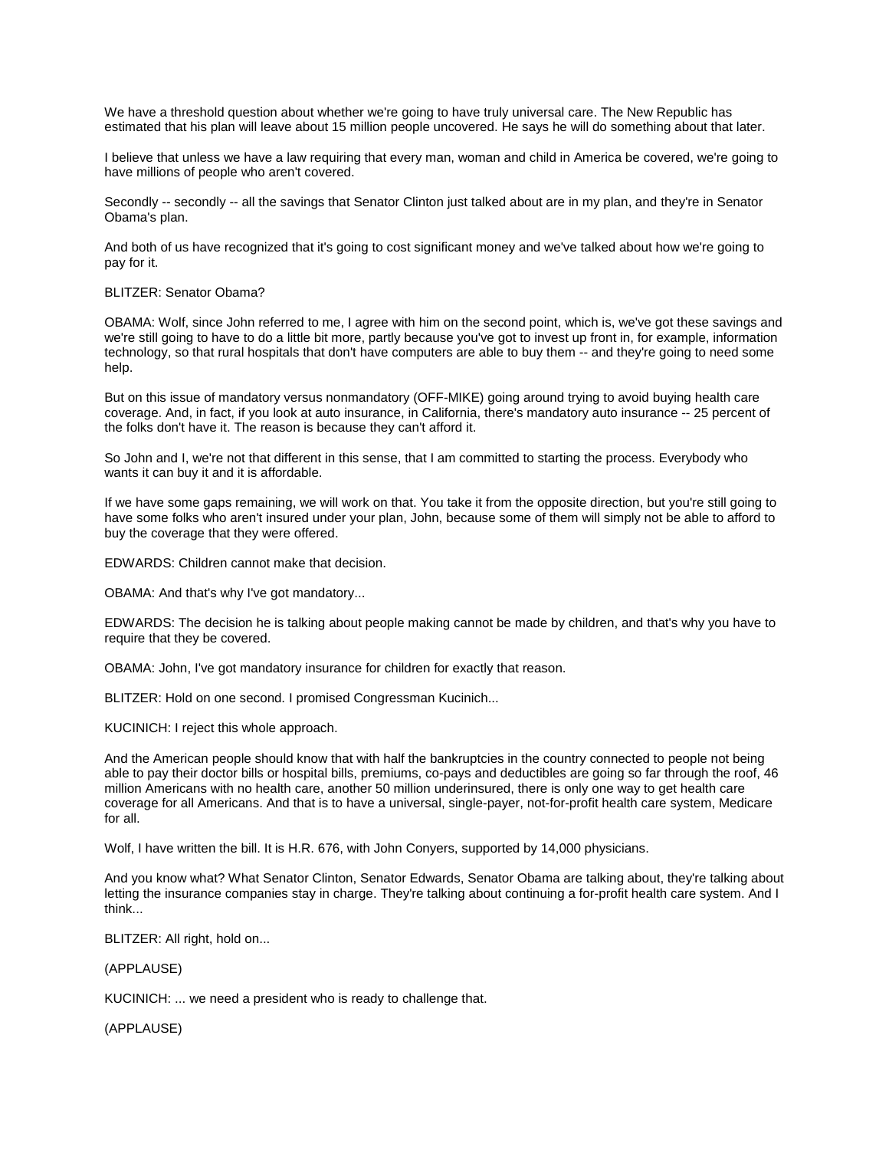We have a threshold question about whether we're going to have truly universal care. The New Republic has estimated that his plan will leave about 15 million people uncovered. He says he will do something about that later.

I believe that unless we have a law requiring that every man, woman and child in America be covered, we're going to have millions of people who aren't covered.

Secondly -- secondly -- all the savings that Senator Clinton just talked about are in my plan, and they're in Senator Obama's plan.

And both of us have recognized that it's going to cost significant money and we've talked about how we're going to pay for it.

### BLITZER: Senator Obama?

OBAMA: Wolf, since John referred to me, I agree with him on the second point, which is, we've got these savings and we're still going to have to do a little bit more, partly because you've got to invest up front in, for example, information technology, so that rural hospitals that don't have computers are able to buy them -- and they're going to need some help.

But on this issue of mandatory versus nonmandatory (OFF-MIKE) going around trying to avoid buying health care coverage. And, in fact, if you look at auto insurance, in California, there's mandatory auto insurance -- 25 percent of the folks don't have it. The reason is because they can't afford it.

So John and I, we're not that different in this sense, that I am committed to starting the process. Everybody who wants it can buy it and it is affordable.

If we have some gaps remaining, we will work on that. You take it from the opposite direction, but you're still going to have some folks who aren't insured under your plan, John, because some of them will simply not be able to afford to buy the coverage that they were offered.

EDWARDS: Children cannot make that decision.

OBAMA: And that's why I've got mandatory...

EDWARDS: The decision he is talking about people making cannot be made by children, and that's why you have to require that they be covered.

OBAMA: John, I've got mandatory insurance for children for exactly that reason.

BLITZER: Hold on one second. I promised Congressman Kucinich...

KUCINICH: I reject this whole approach.

And the American people should know that with half the bankruptcies in the country connected to people not being able to pay their doctor bills or hospital bills, premiums, co-pays and deductibles are going so far through the roof, 46 million Americans with no health care, another 50 million underinsured, there is only one way to get health care coverage for all Americans. And that is to have a universal, single-payer, not-for-profit health care system, Medicare for all.

Wolf, I have written the bill. It is H.R. 676, with John Conyers, supported by 14,000 physicians.

And you know what? What Senator Clinton, Senator Edwards, Senator Obama are talking about, they're talking about letting the insurance companies stay in charge. They're talking about continuing a for-profit health care system. And I think...

BLITZER: All right, hold on...

(APPLAUSE)

KUCINICH: ... we need a president who is ready to challenge that.

(APPLAUSE)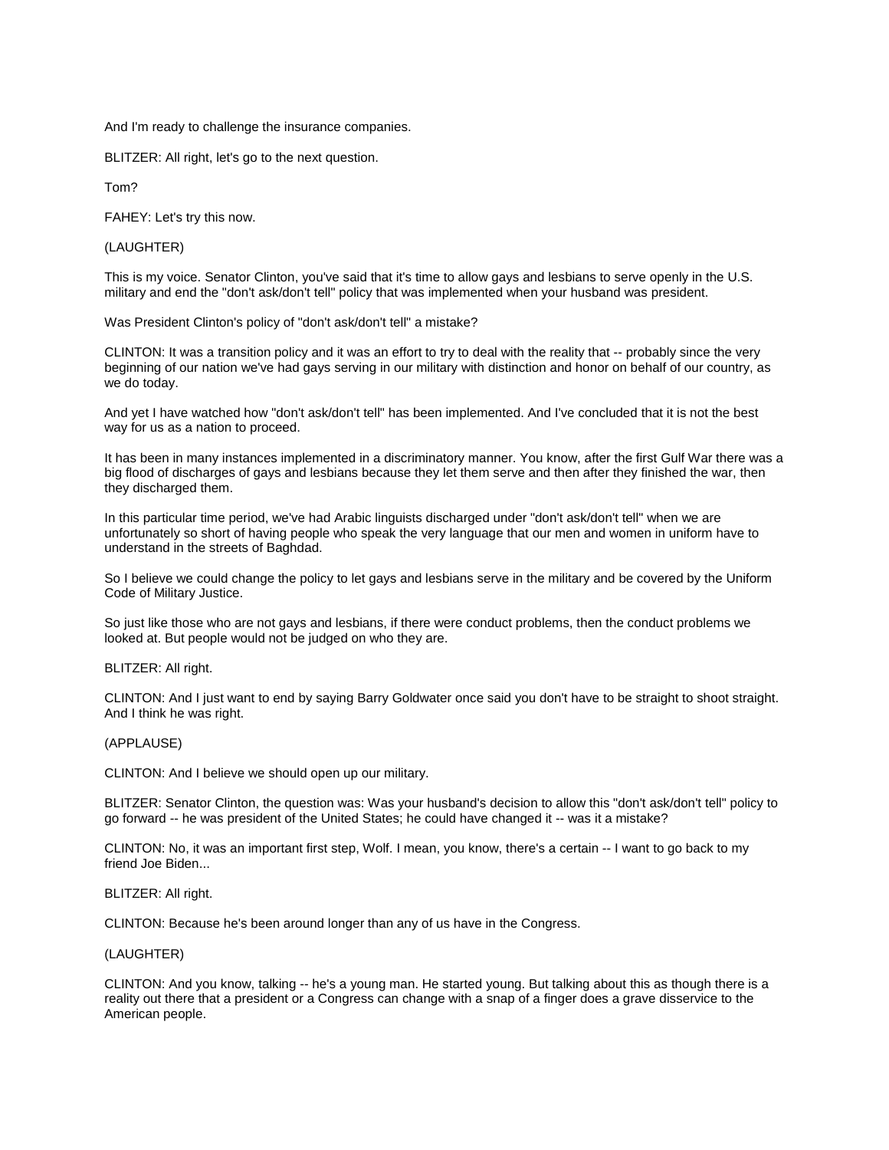And I'm ready to challenge the insurance companies.

BLITZER: All right, let's go to the next question.

Tom?

FAHEY: Let's try this now.

(LAUGHTER)

This is my voice. Senator Clinton, you've said that it's time to allow gays and lesbians to serve openly in the U.S. military and end the "don't ask/don't tell" policy that was implemented when your husband was president.

Was President Clinton's policy of "don't ask/don't tell" a mistake?

CLINTON: It was a transition policy and it was an effort to try to deal with the reality that -- probably since the very beginning of our nation we've had gays serving in our military with distinction and honor on behalf of our country, as we do today.

And yet I have watched how "don't ask/don't tell" has been implemented. And I've concluded that it is not the best way for us as a nation to proceed.

It has been in many instances implemented in a discriminatory manner. You know, after the first Gulf War there was a big flood of discharges of gays and lesbians because they let them serve and then after they finished the war, then they discharged them.

In this particular time period, we've had Arabic linguists discharged under "don't ask/don't tell" when we are unfortunately so short of having people who speak the very language that our men and women in uniform have to understand in the streets of Baghdad.

So I believe we could change the policy to let gays and lesbians serve in the military and be covered by the Uniform Code of Military Justice.

So just like those who are not gays and lesbians, if there were conduct problems, then the conduct problems we looked at. But people would not be judged on who they are.

### BLITZER: All right.

CLINTON: And I just want to end by saying Barry Goldwater once said you don't have to be straight to shoot straight. And I think he was right.

### (APPLAUSE)

CLINTON: And I believe we should open up our military.

BLITZER: Senator Clinton, the question was: Was your husband's decision to allow this "don't ask/don't tell" policy to go forward -- he was president of the United States; he could have changed it -- was it a mistake?

CLINTON: No, it was an important first step, Wolf. I mean, you know, there's a certain -- I want to go back to my friend Joe Biden...

### BLITZER: All right.

CLINTON: Because he's been around longer than any of us have in the Congress.

### (LAUGHTER)

CLINTON: And you know, talking -- he's a young man. He started young. But talking about this as though there is a reality out there that a president or a Congress can change with a snap of a finger does a grave disservice to the American people.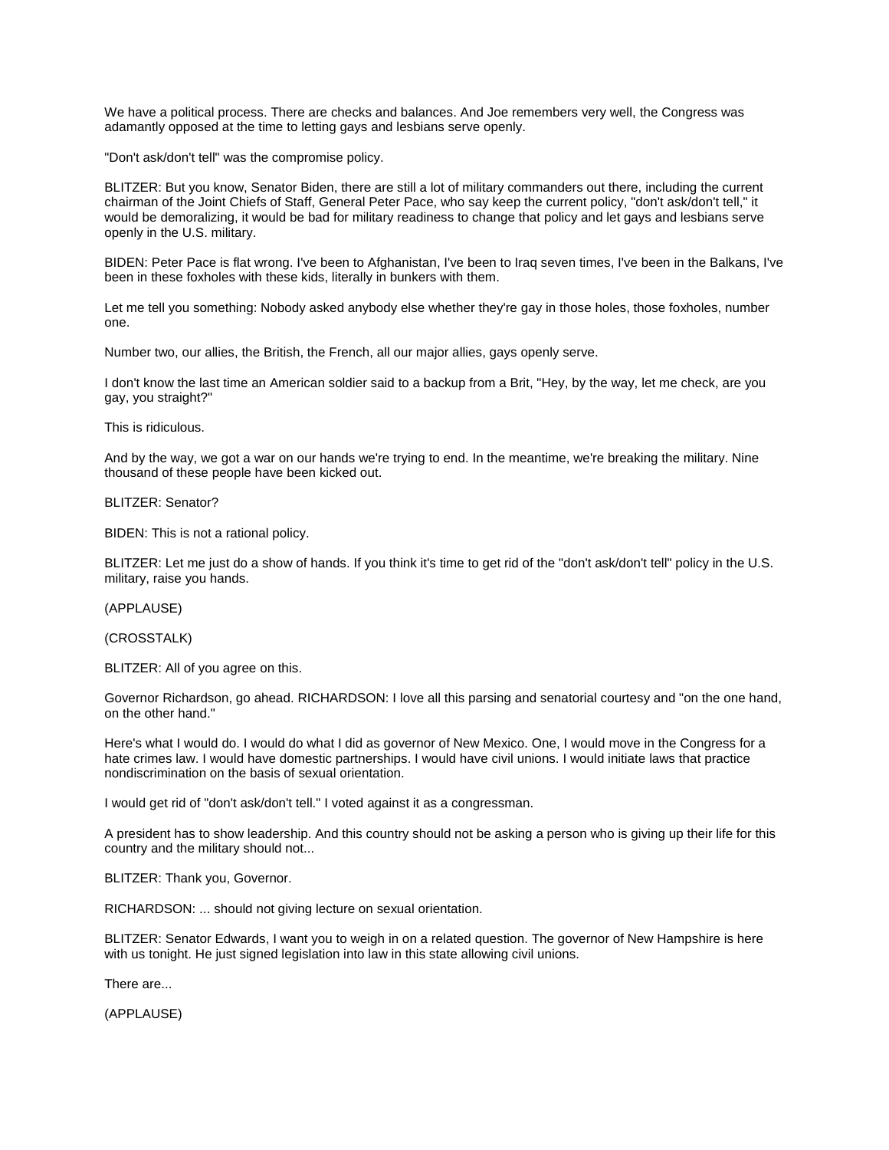We have a political process. There are checks and balances. And Joe remembers very well, the Congress was adamantly opposed at the time to letting gays and lesbians serve openly.

"Don't ask/don't tell" was the compromise policy.

BLITZER: But you know, Senator Biden, there are still a lot of military commanders out there, including the current chairman of the Joint Chiefs of Staff, General Peter Pace, who say keep the current policy, "don't ask/don't tell," it would be demoralizing, it would be bad for military readiness to change that policy and let gays and lesbians serve openly in the U.S. military.

BIDEN: Peter Pace is flat wrong. I've been to Afghanistan, I've been to Iraq seven times, I've been in the Balkans, I've been in these foxholes with these kids, literally in bunkers with them.

Let me tell you something: Nobody asked anybody else whether they're gay in those holes, those foxholes, number one.

Number two, our allies, the British, the French, all our major allies, gays openly serve.

I don't know the last time an American soldier said to a backup from a Brit, "Hey, by the way, let me check, are you gay, you straight?"

This is ridiculous.

And by the way, we got a war on our hands we're trying to end. In the meantime, we're breaking the military. Nine thousand of these people have been kicked out.

BLITZER: Senator?

BIDEN: This is not a rational policy.

BLITZER: Let me just do a show of hands. If you think it's time to get rid of the "don't ask/don't tell" policy in the U.S. military, raise you hands.

(APPLAUSE)

(CROSSTALK)

BLITZER: All of you agree on this.

Governor Richardson, go ahead. RICHARDSON: I love all this parsing and senatorial courtesy and "on the one hand, on the other hand."

Here's what I would do. I would do what I did as governor of New Mexico. One, I would move in the Congress for a hate crimes law. I would have domestic partnerships. I would have civil unions. I would initiate laws that practice nondiscrimination on the basis of sexual orientation.

I would get rid of "don't ask/don't tell." I voted against it as a congressman.

A president has to show leadership. And this country should not be asking a person who is giving up their life for this country and the military should not...

BLITZER: Thank you, Governor.

RICHARDSON: ... should not giving lecture on sexual orientation.

BLITZER: Senator Edwards, I want you to weigh in on a related question. The governor of New Hampshire is here with us tonight. He just signed legislation into law in this state allowing civil unions.

There are...

(APPLAUSE)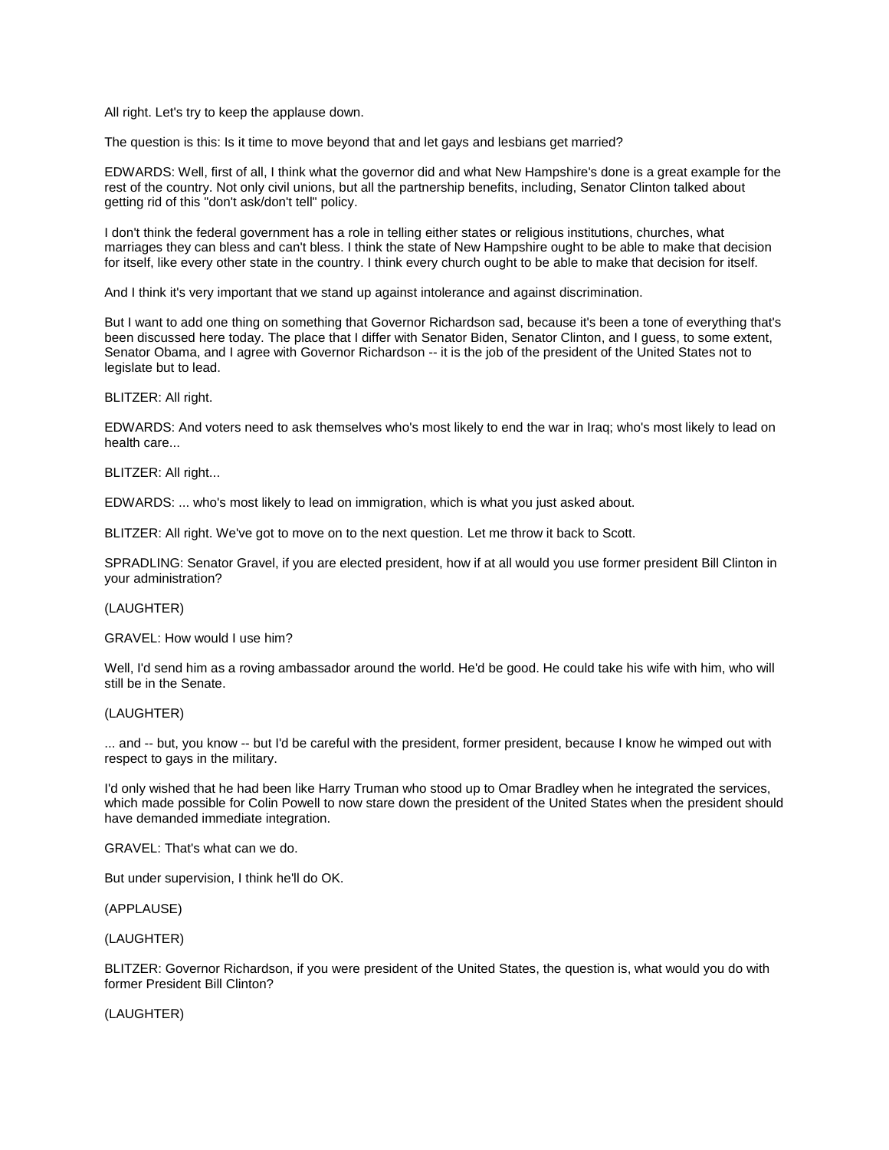All right. Let's try to keep the applause down.

The question is this: Is it time to move beyond that and let gays and lesbians get married?

EDWARDS: Well, first of all, I think what the governor did and what New Hampshire's done is a great example for the rest of the country. Not only civil unions, but all the partnership benefits, including, Senator Clinton talked about getting rid of this "don't ask/don't tell" policy.

I don't think the federal government has a role in telling either states or religious institutions, churches, what marriages they can bless and can't bless. I think the state of New Hampshire ought to be able to make that decision for itself, like every other state in the country. I think every church ought to be able to make that decision for itself.

And I think it's very important that we stand up against intolerance and against discrimination.

But I want to add one thing on something that Governor Richardson sad, because it's been a tone of everything that's been discussed here today. The place that I differ with Senator Biden, Senator Clinton, and I guess, to some extent, Senator Obama, and I agree with Governor Richardson -- it is the job of the president of the United States not to legislate but to lead.

BLITZER: All right.

EDWARDS: And voters need to ask themselves who's most likely to end the war in Iraq; who's most likely to lead on health care...

BLITZER: All right...

EDWARDS: ... who's most likely to lead on immigration, which is what you just asked about.

BLITZER: All right. We've got to move on to the next question. Let me throw it back to Scott.

SPRADLING: Senator Gravel, if you are elected president, how if at all would you use former president Bill Clinton in your administration?

(LAUGHTER)

GRAVEL: How would I use him?

Well, I'd send him as a roving ambassador around the world. He'd be good. He could take his wife with him, who will still be in the Senate.

### (LAUGHTER)

... and -- but, you know -- but I'd be careful with the president, former president, because I know he wimped out with respect to gays in the military.

I'd only wished that he had been like Harry Truman who stood up to Omar Bradley when he integrated the services, which made possible for Colin Powell to now stare down the president of the United States when the president should have demanded immediate integration.

GRAVEL: That's what can we do.

But under supervision, I think he'll do OK.

(APPLAUSE)

(LAUGHTER)

BLITZER: Governor Richardson, if you were president of the United States, the question is, what would you do with former President Bill Clinton?

(LAUGHTER)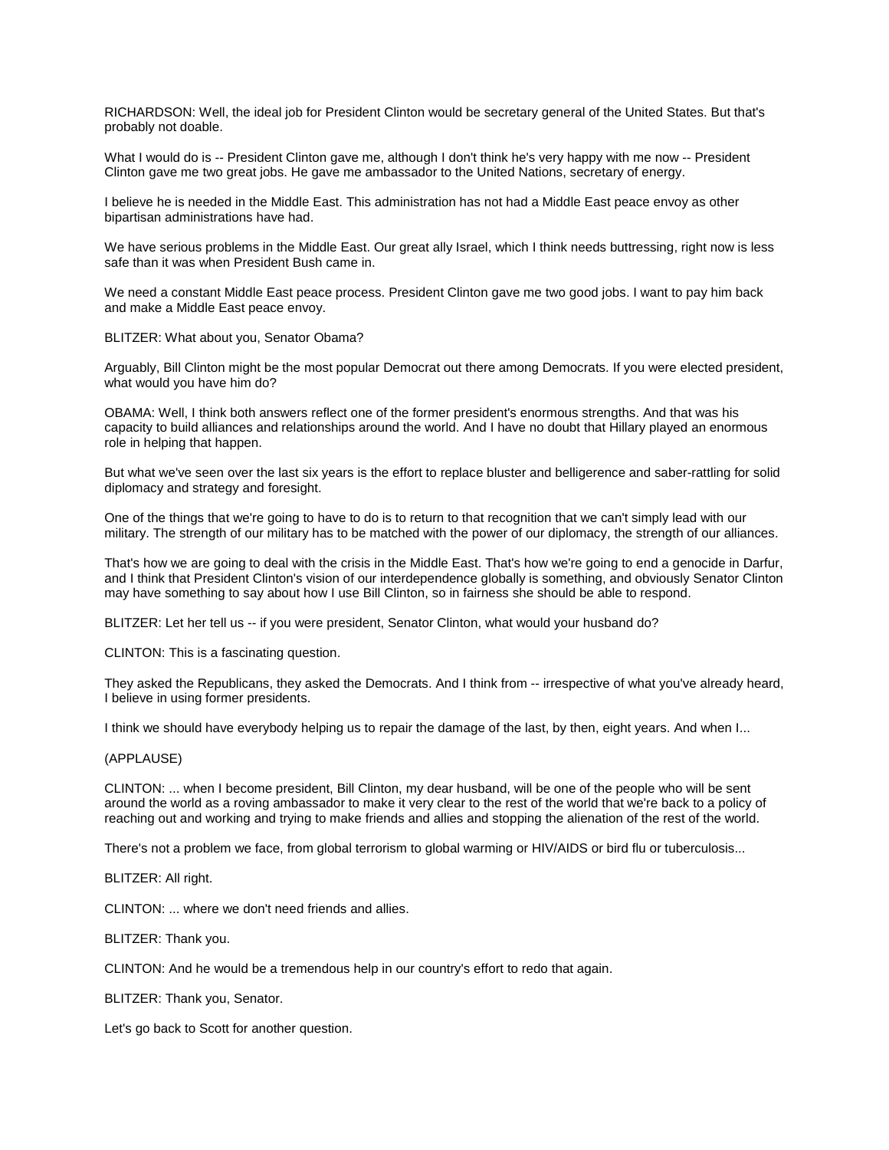RICHARDSON: Well, the ideal job for President Clinton would be secretary general of the United States. But that's probably not doable.

What I would do is -- President Clinton gave me, although I don't think he's very happy with me now -- President Clinton gave me two great jobs. He gave me ambassador to the United Nations, secretary of energy.

I believe he is needed in the Middle East. This administration has not had a Middle East peace envoy as other bipartisan administrations have had.

We have serious problems in the Middle East. Our great ally Israel, which I think needs buttressing, right now is less safe than it was when President Bush came in.

We need a constant Middle East peace process. President Clinton gave me two good jobs. I want to pay him back and make a Middle East peace envoy.

BLITZER: What about you, Senator Obama?

Arguably, Bill Clinton might be the most popular Democrat out there among Democrats. If you were elected president, what would you have him do?

OBAMA: Well, I think both answers reflect one of the former president's enormous strengths. And that was his capacity to build alliances and relationships around the world. And I have no doubt that Hillary played an enormous role in helping that happen.

But what we've seen over the last six years is the effort to replace bluster and belligerence and saber-rattling for solid diplomacy and strategy and foresight.

One of the things that we're going to have to do is to return to that recognition that we can't simply lead with our military. The strength of our military has to be matched with the power of our diplomacy, the strength of our alliances.

That's how we are going to deal with the crisis in the Middle East. That's how we're going to end a genocide in Darfur, and I think that President Clinton's vision of our interdependence globally is something, and obviously Senator Clinton may have something to say about how I use Bill Clinton, so in fairness she should be able to respond.

BLITZER: Let her tell us -- if you were president, Senator Clinton, what would your husband do?

CLINTON: This is a fascinating question.

They asked the Republicans, they asked the Democrats. And I think from -- irrespective of what you've already heard, I believe in using former presidents.

I think we should have everybody helping us to repair the damage of the last, by then, eight years. And when I...

### (APPLAUSE)

CLINTON: ... when I become president, Bill Clinton, my dear husband, will be one of the people who will be sent around the world as a roving ambassador to make it very clear to the rest of the world that we're back to a policy of reaching out and working and trying to make friends and allies and stopping the alienation of the rest of the world.

There's not a problem we face, from global terrorism to global warming or HIV/AIDS or bird flu or tuberculosis...

BLITZER: All right.

CLINTON: ... where we don't need friends and allies.

BLITZER: Thank you.

CLINTON: And he would be a tremendous help in our country's effort to redo that again.

BLITZER: Thank you, Senator.

Let's go back to Scott for another question.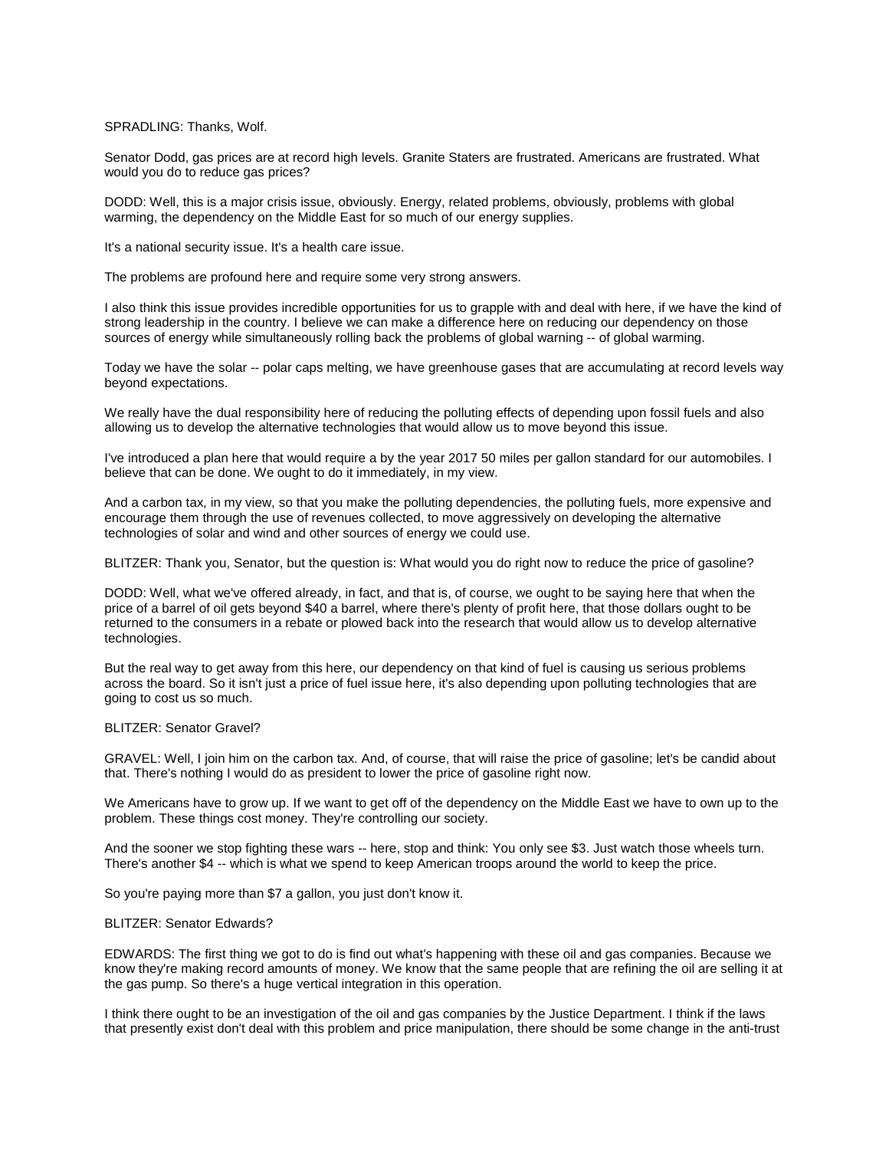### SPRADLING: Thanks, Wolf.

Senator Dodd, gas prices are at record high levels. Granite Staters are frustrated. Americans are frustrated. What would you do to reduce gas prices?

DODD: Well, this is a major crisis issue, obviously. Energy, related problems, obviously, problems with global warming, the dependency on the Middle East for so much of our energy supplies.

It's a national security issue. It's a health care issue.

The problems are profound here and require some very strong answers.

I also think this issue provides incredible opportunities for us to grapple with and deal with here, if we have the kind of strong leadership in the country. I believe we can make a difference here on reducing our dependency on those sources of energy while simultaneously rolling back the problems of global warning -- of global warming.

Today we have the solar -- polar caps melting, we have greenhouse gases that are accumulating at record levels way beyond expectations.

We really have the dual responsibility here of reducing the polluting effects of depending upon fossil fuels and also allowing us to develop the alternative technologies that would allow us to move beyond this issue.

I've introduced a plan here that would require a by the year 2017 50 miles per gallon standard for our automobiles. I believe that can be done. We ought to do it immediately, in my view.

And a carbon tax, in my view, so that you make the polluting dependencies, the polluting fuels, more expensive and encourage them through the use of revenues collected, to move aggressively on developing the alternative technologies of solar and wind and other sources of energy we could use.

BLITZER: Thank you, Senator, but the question is: What would you do right now to reduce the price of gasoline?

DODD: Well, what we've offered already, in fact, and that is, of course, we ought to be saying here that when the price of a barrel of oil gets beyond \$40 a barrel, where there's plenty of profit here, that those dollars ought to be returned to the consumers in a rebate or plowed back into the research that would allow us to develop alternative technologies.

But the real way to get away from this here, our dependency on that kind of fuel is causing us serious problems across the board. So it isn't just a price of fuel issue here, it's also depending upon polluting technologies that are going to cost us so much.

#### BLITZER: Senator Gravel?

GRAVEL: Well, I join him on the carbon tax. And, of course, that will raise the price of gasoline; let's be candid about that. There's nothing I would do as president to lower the price of gasoline right now.

We Americans have to grow up. If we want to get off of the dependency on the Middle East we have to own up to the problem. These things cost money. They're controlling our society.

And the sooner we stop fighting these wars -- here, stop and think: You only see \$3. Just watch those wheels turn. There's another \$4 -- which is what we spend to keep American troops around the world to keep the price.

So you're paying more than \$7 a gallon, you just don't know it.

#### BLITZER: Senator Edwards?

EDWARDS: The first thing we got to do is find out what's happening with these oil and gas companies. Because we know they're making record amounts of money. We know that the same people that are refining the oil are selling it at the gas pump. So there's a huge vertical integration in this operation.

I think there ought to be an investigation of the oil and gas companies by the Justice Department. I think if the laws that presently exist don't deal with this problem and price manipulation, there should be some change in the anti-trust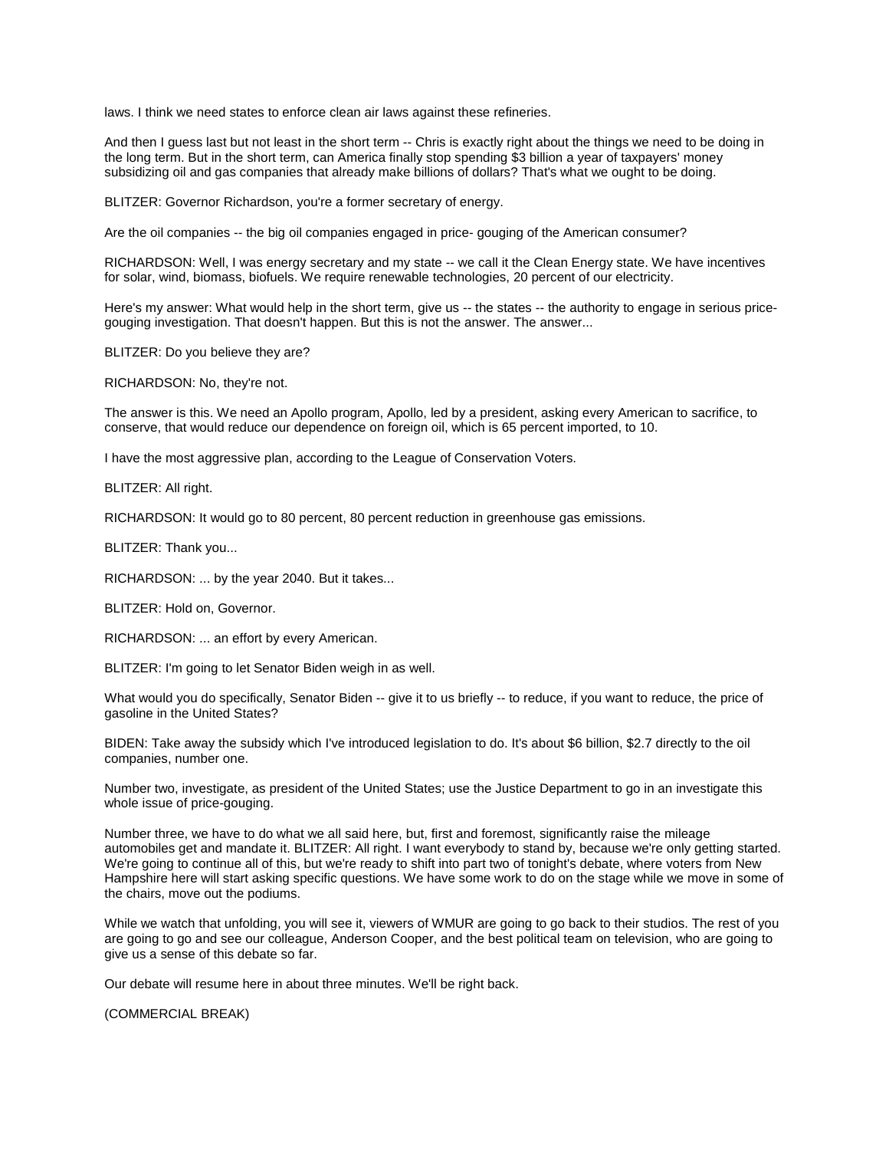laws. I think we need states to enforce clean air laws against these refineries.

And then I guess last but not least in the short term -- Chris is exactly right about the things we need to be doing in the long term. But in the short term, can America finally stop spending \$3 billion a year of taxpayers' money subsidizing oil and gas companies that already make billions of dollars? That's what we ought to be doing.

BLITZER: Governor Richardson, you're a former secretary of energy.

Are the oil companies -- the big oil companies engaged in price- gouging of the American consumer?

RICHARDSON: Well, I was energy secretary and my state -- we call it the Clean Energy state. We have incentives for solar, wind, biomass, biofuels. We require renewable technologies, 20 percent of our electricity.

Here's my answer: What would help in the short term, give us -- the states -- the authority to engage in serious pricegouging investigation. That doesn't happen. But this is not the answer. The answer...

BLITZER: Do you believe they are?

RICHARDSON: No, they're not.

The answer is this. We need an Apollo program, Apollo, led by a president, asking every American to sacrifice, to conserve, that would reduce our dependence on foreign oil, which is 65 percent imported, to 10.

I have the most aggressive plan, according to the League of Conservation Voters.

BLITZER: All right.

RICHARDSON: It would go to 80 percent, 80 percent reduction in greenhouse gas emissions.

BLITZER: Thank you...

RICHARDSON: ... by the year 2040. But it takes...

BLITZER: Hold on, Governor.

RICHARDSON: ... an effort by every American.

BLITZER: I'm going to let Senator Biden weigh in as well.

What would you do specifically, Senator Biden -- give it to us briefly -- to reduce, if you want to reduce, the price of gasoline in the United States?

BIDEN: Take away the subsidy which I've introduced legislation to do. It's about \$6 billion, \$2.7 directly to the oil companies, number one.

Number two, investigate, as president of the United States; use the Justice Department to go in an investigate this whole issue of price-gouging.

Number three, we have to do what we all said here, but, first and foremost, significantly raise the mileage automobiles get and mandate it. BLITZER: All right. I want everybody to stand by, because we're only getting started. We're going to continue all of this, but we're ready to shift into part two of tonight's debate, where voters from New Hampshire here will start asking specific questions. We have some work to do on the stage while we move in some of the chairs, move out the podiums.

While we watch that unfolding, you will see it, viewers of WMUR are going to go back to their studios. The rest of you are going to go and see our colleague, Anderson Cooper, and the best political team on television, who are going to give us a sense of this debate so far.

Our debate will resume here in about three minutes. We'll be right back.

(COMMERCIAL BREAK)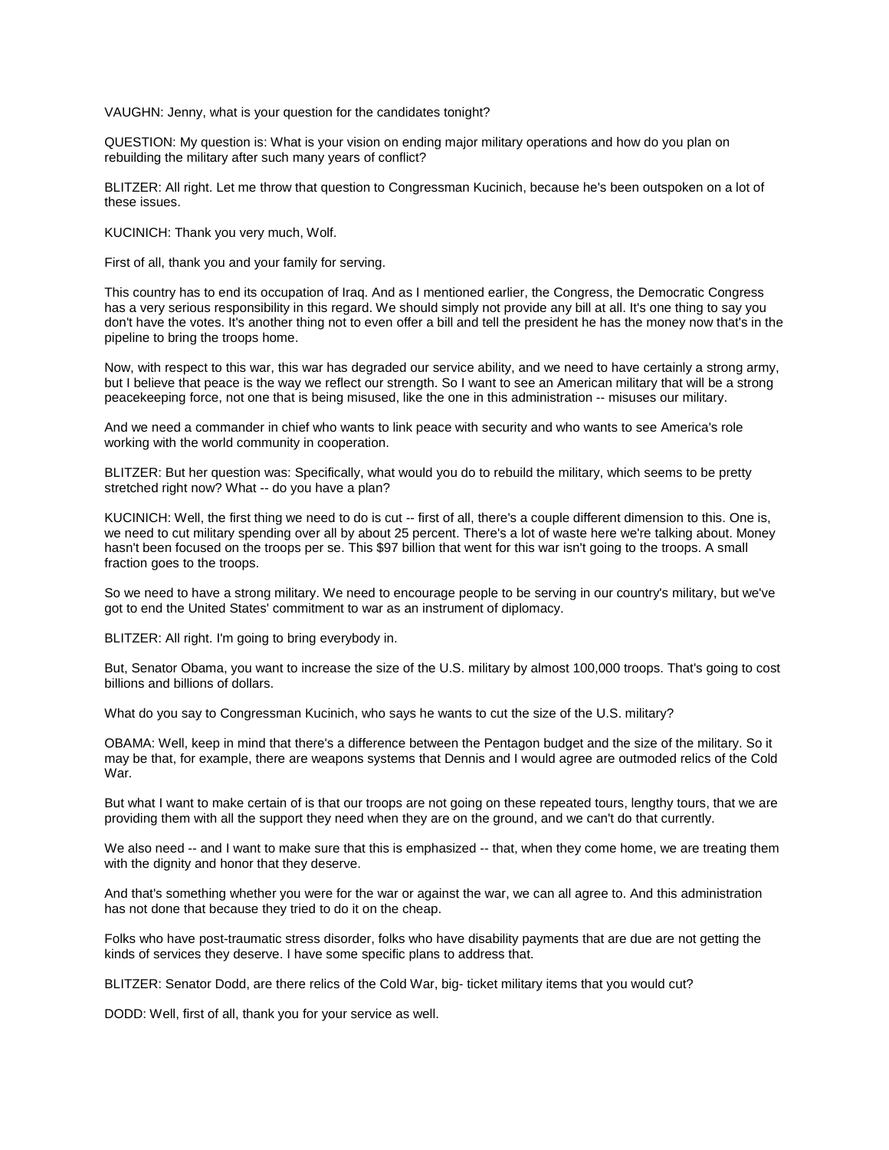VAUGHN: Jenny, what is your question for the candidates tonight?

QUESTION: My question is: What is your vision on ending major military operations and how do you plan on rebuilding the military after such many years of conflict?

BLITZER: All right. Let me throw that question to Congressman Kucinich, because he's been outspoken on a lot of these issues.

KUCINICH: Thank you very much, Wolf.

First of all, thank you and your family for serving.

This country has to end its occupation of Iraq. And as I mentioned earlier, the Congress, the Democratic Congress has a very serious responsibility in this regard. We should simply not provide any bill at all. It's one thing to say you don't have the votes. It's another thing not to even offer a bill and tell the president he has the money now that's in the pipeline to bring the troops home.

Now, with respect to this war, this war has degraded our service ability, and we need to have certainly a strong army, but I believe that peace is the way we reflect our strength. So I want to see an American military that will be a strong peacekeeping force, not one that is being misused, like the one in this administration -- misuses our military.

And we need a commander in chief who wants to link peace with security and who wants to see America's role working with the world community in cooperation.

BLITZER: But her question was: Specifically, what would you do to rebuild the military, which seems to be pretty stretched right now? What -- do you have a plan?

KUCINICH: Well, the first thing we need to do is cut -- first of all, there's a couple different dimension to this. One is, we need to cut military spending over all by about 25 percent. There's a lot of waste here we're talking about. Money hasn't been focused on the troops per se. This \$97 billion that went for this war isn't going to the troops. A small fraction goes to the troops.

So we need to have a strong military. We need to encourage people to be serving in our country's military, but we've got to end the United States' commitment to war as an instrument of diplomacy.

BLITZER: All right. I'm going to bring everybody in.

But, Senator Obama, you want to increase the size of the U.S. military by almost 100,000 troops. That's going to cost billions and billions of dollars.

What do you say to Congressman Kucinich, who says he wants to cut the size of the U.S. military?

OBAMA: Well, keep in mind that there's a difference between the Pentagon budget and the size of the military. So it may be that, for example, there are weapons systems that Dennis and I would agree are outmoded relics of the Cold War.

But what I want to make certain of is that our troops are not going on these repeated tours, lengthy tours, that we are providing them with all the support they need when they are on the ground, and we can't do that currently.

We also need -- and I want to make sure that this is emphasized -- that, when they come home, we are treating them with the dignity and honor that they deserve.

And that's something whether you were for the war or against the war, we can all agree to. And this administration has not done that because they tried to do it on the cheap.

Folks who have post-traumatic stress disorder, folks who have disability payments that are due are not getting the kinds of services they deserve. I have some specific plans to address that.

BLITZER: Senator Dodd, are there relics of the Cold War, big- ticket military items that you would cut?

DODD: Well, first of all, thank you for your service as well.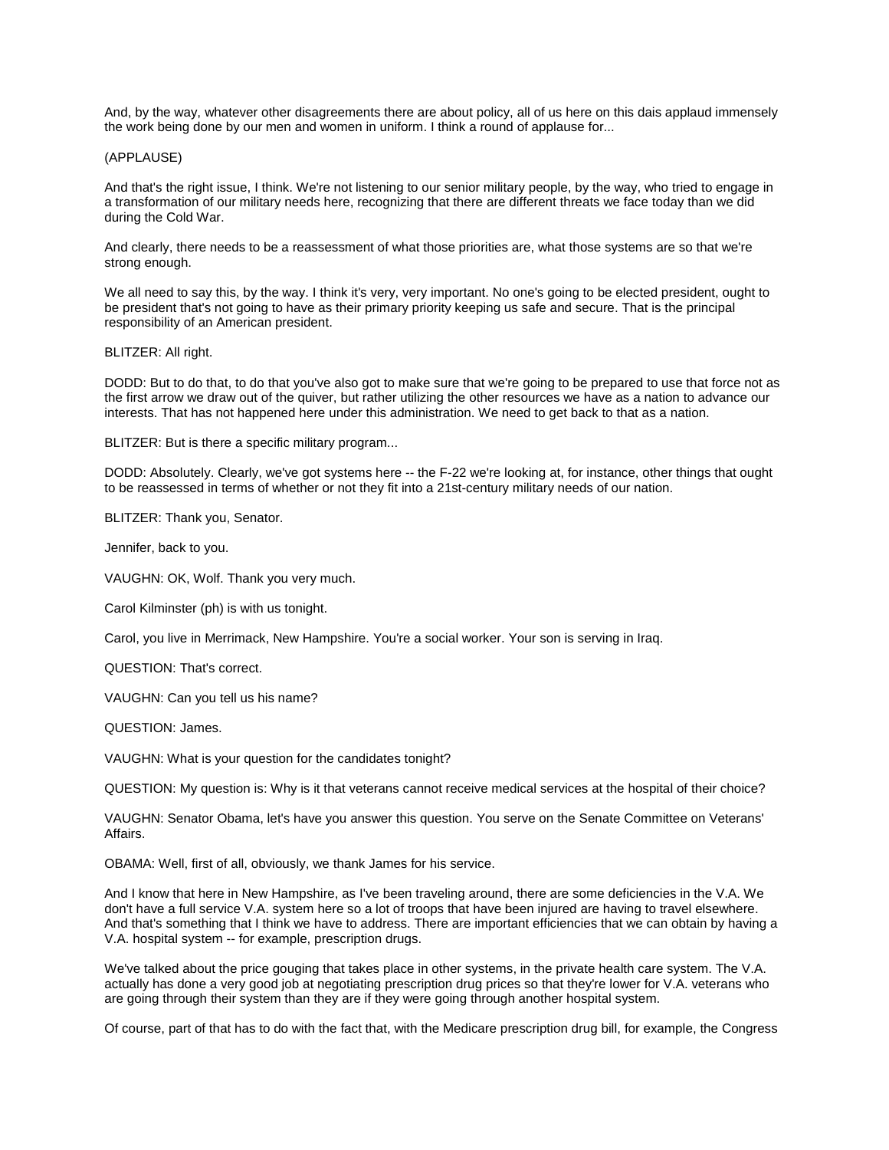And, by the way, whatever other disagreements there are about policy, all of us here on this dais applaud immensely the work being done by our men and women in uniform. I think a round of applause for...

#### (APPLAUSE)

And that's the right issue, I think. We're not listening to our senior military people, by the way, who tried to engage in a transformation of our military needs here, recognizing that there are different threats we face today than we did during the Cold War.

And clearly, there needs to be a reassessment of what those priorities are, what those systems are so that we're strong enough.

We all need to say this, by the way. I think it's very, very important. No one's going to be elected president, ought to be president that's not going to have as their primary priority keeping us safe and secure. That is the principal responsibility of an American president.

### BLITZER: All right.

DODD: But to do that, to do that you've also got to make sure that we're going to be prepared to use that force not as the first arrow we draw out of the quiver, but rather utilizing the other resources we have as a nation to advance our interests. That has not happened here under this administration. We need to get back to that as a nation.

BLITZER: But is there a specific military program...

DODD: Absolutely. Clearly, we've got systems here -- the F-22 we're looking at, for instance, other things that ought to be reassessed in terms of whether or not they fit into a 21st-century military needs of our nation.

BLITZER: Thank you, Senator.

Jennifer, back to you.

VAUGHN: OK, Wolf. Thank you very much.

Carol Kilminster (ph) is with us tonight.

Carol, you live in Merrimack, New Hampshire. You're a social worker. Your son is serving in Iraq.

QUESTION: That's correct.

VAUGHN: Can you tell us his name?

QUESTION: James.

VAUGHN: What is your question for the candidates tonight?

QUESTION: My question is: Why is it that veterans cannot receive medical services at the hospital of their choice?

VAUGHN: Senator Obama, let's have you answer this question. You serve on the Senate Committee on Veterans' Affairs.

OBAMA: Well, first of all, obviously, we thank James for his service.

And I know that here in New Hampshire, as I've been traveling around, there are some deficiencies in the V.A. We don't have a full service V.A. system here so a lot of troops that have been injured are having to travel elsewhere. And that's something that I think we have to address. There are important efficiencies that we can obtain by having a V.A. hospital system -- for example, prescription drugs.

We've talked about the price gouging that takes place in other systems, in the private health care system. The V.A. actually has done a very good job at negotiating prescription drug prices so that they're lower for V.A. veterans who are going through their system than they are if they were going through another hospital system.

Of course, part of that has to do with the fact that, with the Medicare prescription drug bill, for example, the Congress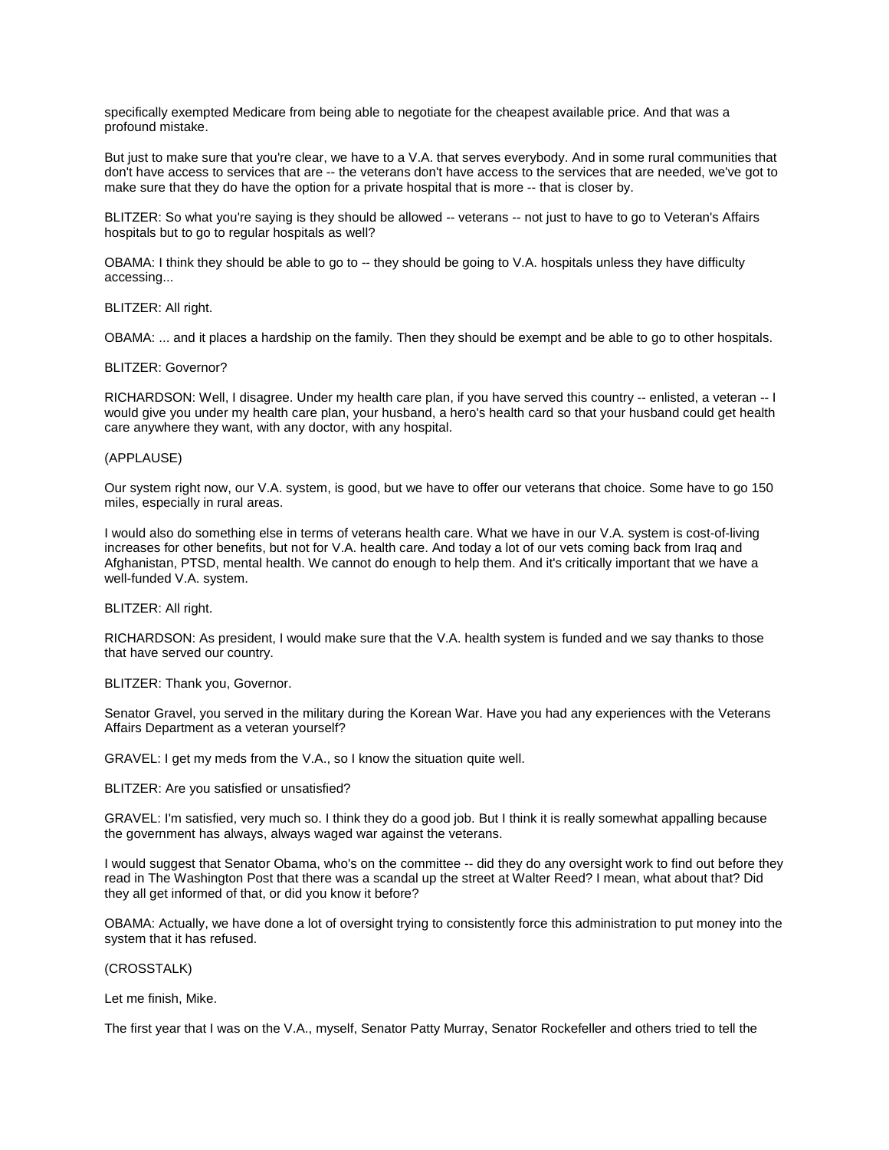specifically exempted Medicare from being able to negotiate for the cheapest available price. And that was a profound mistake.

But just to make sure that you're clear, we have to a V.A. that serves everybody. And in some rural communities that don't have access to services that are -- the veterans don't have access to the services that are needed, we've got to make sure that they do have the option for a private hospital that is more -- that is closer by.

BLITZER: So what you're saying is they should be allowed -- veterans -- not just to have to go to Veteran's Affairs hospitals but to go to regular hospitals as well?

OBAMA: I think they should be able to go to -- they should be going to V.A. hospitals unless they have difficulty accessing...

BLITZER: All right.

OBAMA: ... and it places a hardship on the family. Then they should be exempt and be able to go to other hospitals.

#### BLITZER: Governor?

RICHARDSON: Well, I disagree. Under my health care plan, if you have served this country -- enlisted, a veteran -- I would give you under my health care plan, your husband, a hero's health card so that your husband could get health care anywhere they want, with any doctor, with any hospital.

#### (APPLAUSE)

Our system right now, our V.A. system, is good, but we have to offer our veterans that choice. Some have to go 150 miles, especially in rural areas.

I would also do something else in terms of veterans health care. What we have in our V.A. system is cost-of-living increases for other benefits, but not for V.A. health care. And today a lot of our vets coming back from Iraq and Afghanistan, PTSD, mental health. We cannot do enough to help them. And it's critically important that we have a well-funded V.A. system.

BLITZER: All right.

RICHARDSON: As president, I would make sure that the V.A. health system is funded and we say thanks to those that have served our country.

BLITZER: Thank you, Governor.

Senator Gravel, you served in the military during the Korean War. Have you had any experiences with the Veterans Affairs Department as a veteran yourself?

GRAVEL: I get my meds from the V.A., so I know the situation quite well.

BLITZER: Are you satisfied or unsatisfied?

GRAVEL: I'm satisfied, very much so. I think they do a good job. But I think it is really somewhat appalling because the government has always, always waged war against the veterans.

I would suggest that Senator Obama, who's on the committee -- did they do any oversight work to find out before they read in The Washington Post that there was a scandal up the street at Walter Reed? I mean, what about that? Did they all get informed of that, or did you know it before?

OBAMA: Actually, we have done a lot of oversight trying to consistently force this administration to put money into the system that it has refused.

(CROSSTALK)

Let me finish, Mike.

The first year that I was on the V.A., myself, Senator Patty Murray, Senator Rockefeller and others tried to tell the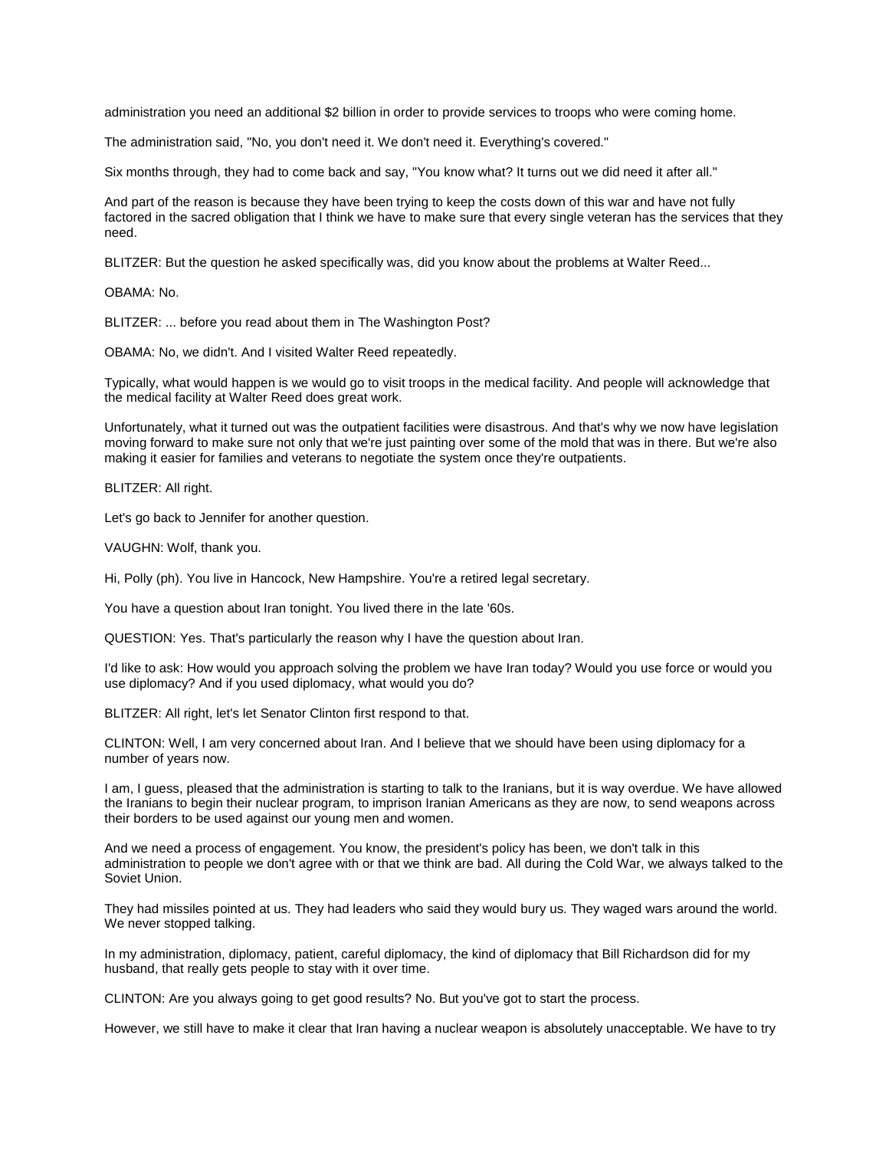administration you need an additional \$2 billion in order to provide services to troops who were coming home.

The administration said, "No, you don't need it. We don't need it. Everything's covered."

Six months through, they had to come back and say, "You know what? It turns out we did need it after all."

And part of the reason is because they have been trying to keep the costs down of this war and have not fully factored in the sacred obligation that I think we have to make sure that every single veteran has the services that they need.

BLITZER: But the question he asked specifically was, did you know about the problems at Walter Reed...

OBAMA: No.

BLITZER: ... before you read about them in The Washington Post?

OBAMA: No, we didn't. And I visited Walter Reed repeatedly.

Typically, what would happen is we would go to visit troops in the medical facility. And people will acknowledge that the medical facility at Walter Reed does great work.

Unfortunately, what it turned out was the outpatient facilities were disastrous. And that's why we now have legislation moving forward to make sure not only that we're just painting over some of the mold that was in there. But we're also making it easier for families and veterans to negotiate the system once they're outpatients.

BLITZER: All right.

Let's go back to Jennifer for another question.

VAUGHN: Wolf, thank you.

Hi, Polly (ph). You live in Hancock, New Hampshire. You're a retired legal secretary.

You have a question about Iran tonight. You lived there in the late '60s.

QUESTION: Yes. That's particularly the reason why I have the question about Iran.

I'd like to ask: How would you approach solving the problem we have Iran today? Would you use force or would you use diplomacy? And if you used diplomacy, what would you do?

BLITZER: All right, let's let Senator Clinton first respond to that.

CLINTON: Well, I am very concerned about Iran. And I believe that we should have been using diplomacy for a number of years now.

I am, I guess, pleased that the administration is starting to talk to the Iranians, but it is way overdue. We have allowed the Iranians to begin their nuclear program, to imprison Iranian Americans as they are now, to send weapons across their borders to be used against our young men and women.

And we need a process of engagement. You know, the president's policy has been, we don't talk in this administration to people we don't agree with or that we think are bad. All during the Cold War, we always talked to the Soviet Union.

They had missiles pointed at us. They had leaders who said they would bury us. They waged wars around the world. We never stopped talking.

In my administration, diplomacy, patient, careful diplomacy, the kind of diplomacy that Bill Richardson did for my husband, that really gets people to stay with it over time.

CLINTON: Are you always going to get good results? No. But you've got to start the process.

However, we still have to make it clear that Iran having a nuclear weapon is absolutely unacceptable. We have to try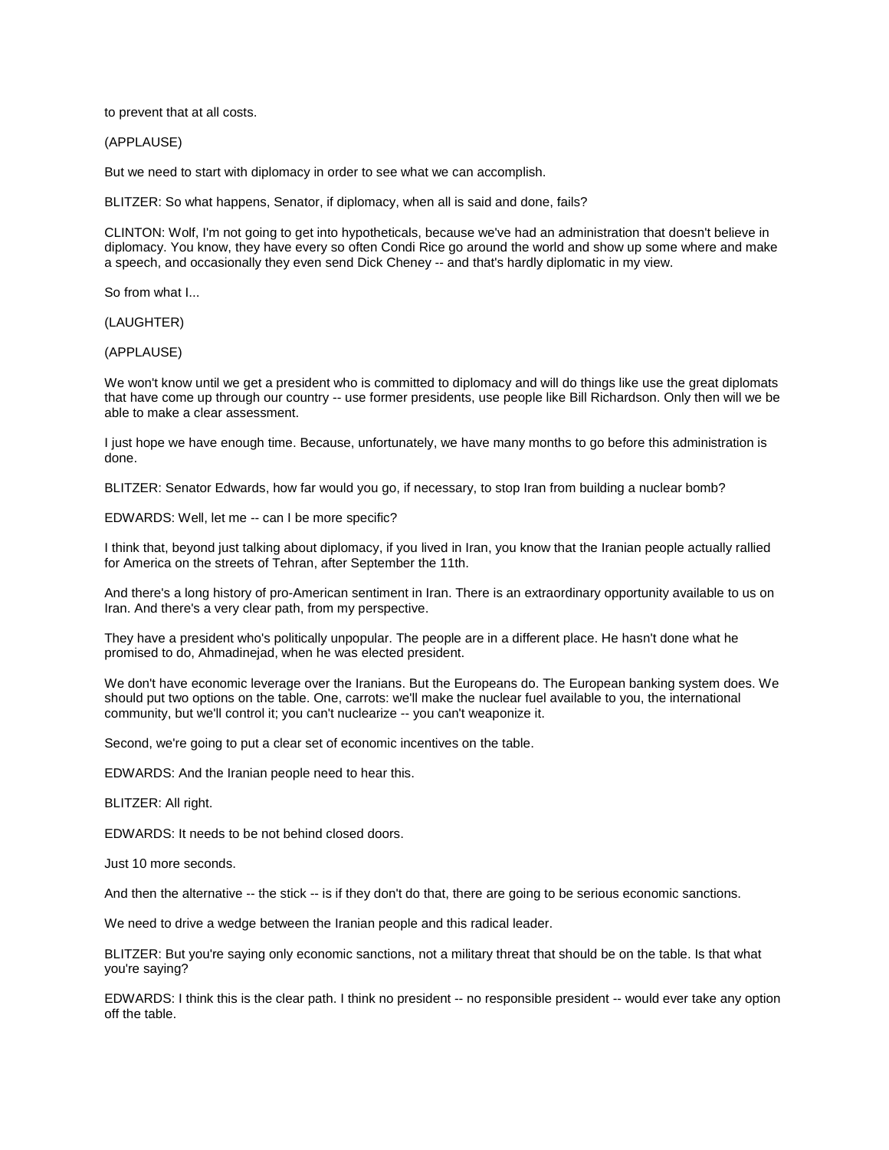to prevent that at all costs.

(APPLAUSE)

But we need to start with diplomacy in order to see what we can accomplish.

BLITZER: So what happens, Senator, if diplomacy, when all is said and done, fails?

CLINTON: Wolf, I'm not going to get into hypotheticals, because we've had an administration that doesn't believe in diplomacy. You know, they have every so often Condi Rice go around the world and show up some where and make a speech, and occasionally they even send Dick Cheney -- and that's hardly diplomatic in my view.

So from what I...

(LAUGHTER)

(APPLAUSE)

We won't know until we get a president who is committed to diplomacy and will do things like use the great diplomats that have come up through our country -- use former presidents, use people like Bill Richardson. Only then will we be able to make a clear assessment.

I just hope we have enough time. Because, unfortunately, we have many months to go before this administration is done.

BLITZER: Senator Edwards, how far would you go, if necessary, to stop Iran from building a nuclear bomb?

EDWARDS: Well, let me -- can I be more specific?

I think that, beyond just talking about diplomacy, if you lived in Iran, you know that the Iranian people actually rallied for America on the streets of Tehran, after September the 11th.

And there's a long history of pro-American sentiment in Iran. There is an extraordinary opportunity available to us on Iran. And there's a very clear path, from my perspective.

They have a president who's politically unpopular. The people are in a different place. He hasn't done what he promised to do, Ahmadinejad, when he was elected president.

We don't have economic leverage over the Iranians. But the Europeans do. The European banking system does. We should put two options on the table. One, carrots: we'll make the nuclear fuel available to you, the international community, but we'll control it; you can't nuclearize -- you can't weaponize it.

Second, we're going to put a clear set of economic incentives on the table.

EDWARDS: And the Iranian people need to hear this.

BLITZER: All right.

EDWARDS: It needs to be not behind closed doors.

Just 10 more seconds.

And then the alternative -- the stick -- is if they don't do that, there are going to be serious economic sanctions.

We need to drive a wedge between the Iranian people and this radical leader.

BLITZER: But you're saying only economic sanctions, not a military threat that should be on the table. Is that what you're saying?

EDWARDS: I think this is the clear path. I think no president -- no responsible president -- would ever take any option off the table.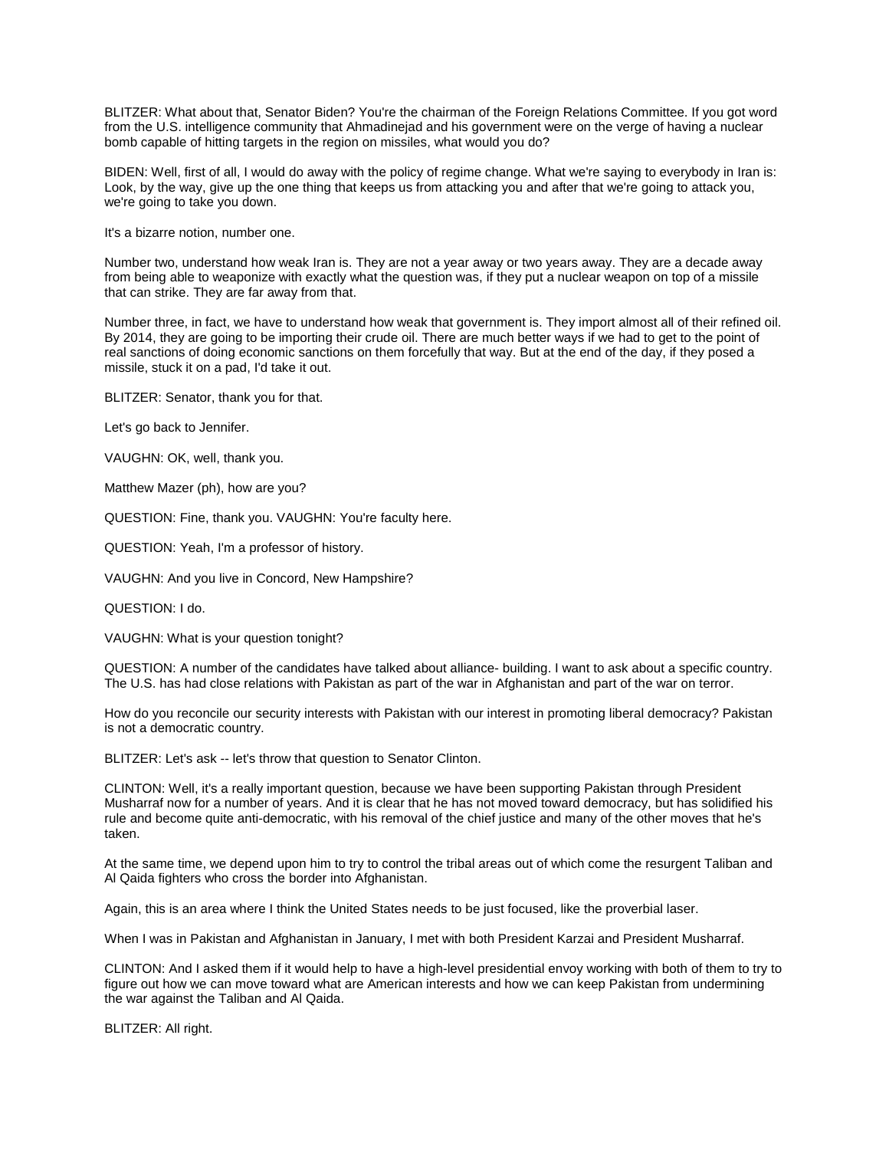BLITZER: What about that, Senator Biden? You're the chairman of the Foreign Relations Committee. If you got word from the U.S. intelligence community that Ahmadinejad and his government were on the verge of having a nuclear bomb capable of hitting targets in the region on missiles, what would you do?

BIDEN: Well, first of all, I would do away with the policy of regime change. What we're saying to everybody in Iran is: Look, by the way, give up the one thing that keeps us from attacking you and after that we're going to attack you, we're going to take you down.

It's a bizarre notion, number one.

Number two, understand how weak Iran is. They are not a year away or two years away. They are a decade away from being able to weaponize with exactly what the question was, if they put a nuclear weapon on top of a missile that can strike. They are far away from that.

Number three, in fact, we have to understand how weak that government is. They import almost all of their refined oil. By 2014, they are going to be importing their crude oil. There are much better ways if we had to get to the point of real sanctions of doing economic sanctions on them forcefully that way. But at the end of the day, if they posed a missile, stuck it on a pad, I'd take it out.

BLITZER: Senator, thank you for that.

Let's go back to Jennifer.

VAUGHN: OK, well, thank you.

Matthew Mazer (ph), how are you?

QUESTION: Fine, thank you. VAUGHN: You're faculty here.

QUESTION: Yeah, I'm a professor of history.

VAUGHN: And you live in Concord, New Hampshire?

QUESTION: I do.

VAUGHN: What is your question tonight?

QUESTION: A number of the candidates have talked about alliance- building. I want to ask about a specific country. The U.S. has had close relations with Pakistan as part of the war in Afghanistan and part of the war on terror.

How do you reconcile our security interests with Pakistan with our interest in promoting liberal democracy? Pakistan is not a democratic country.

BLITZER: Let's ask -- let's throw that question to Senator Clinton.

CLINTON: Well, it's a really important question, because we have been supporting Pakistan through President Musharraf now for a number of years. And it is clear that he has not moved toward democracy, but has solidified his rule and become quite anti-democratic, with his removal of the chief justice and many of the other moves that he's taken.

At the same time, we depend upon him to try to control the tribal areas out of which come the resurgent Taliban and Al Qaida fighters who cross the border into Afghanistan.

Again, this is an area where I think the United States needs to be just focused, like the proverbial laser.

When I was in Pakistan and Afghanistan in January, I met with both President Karzai and President Musharraf.

CLINTON: And I asked them if it would help to have a high-level presidential envoy working with both of them to try to figure out how we can move toward what are American interests and how we can keep Pakistan from undermining the war against the Taliban and Al Qaida.

BLITZER: All right.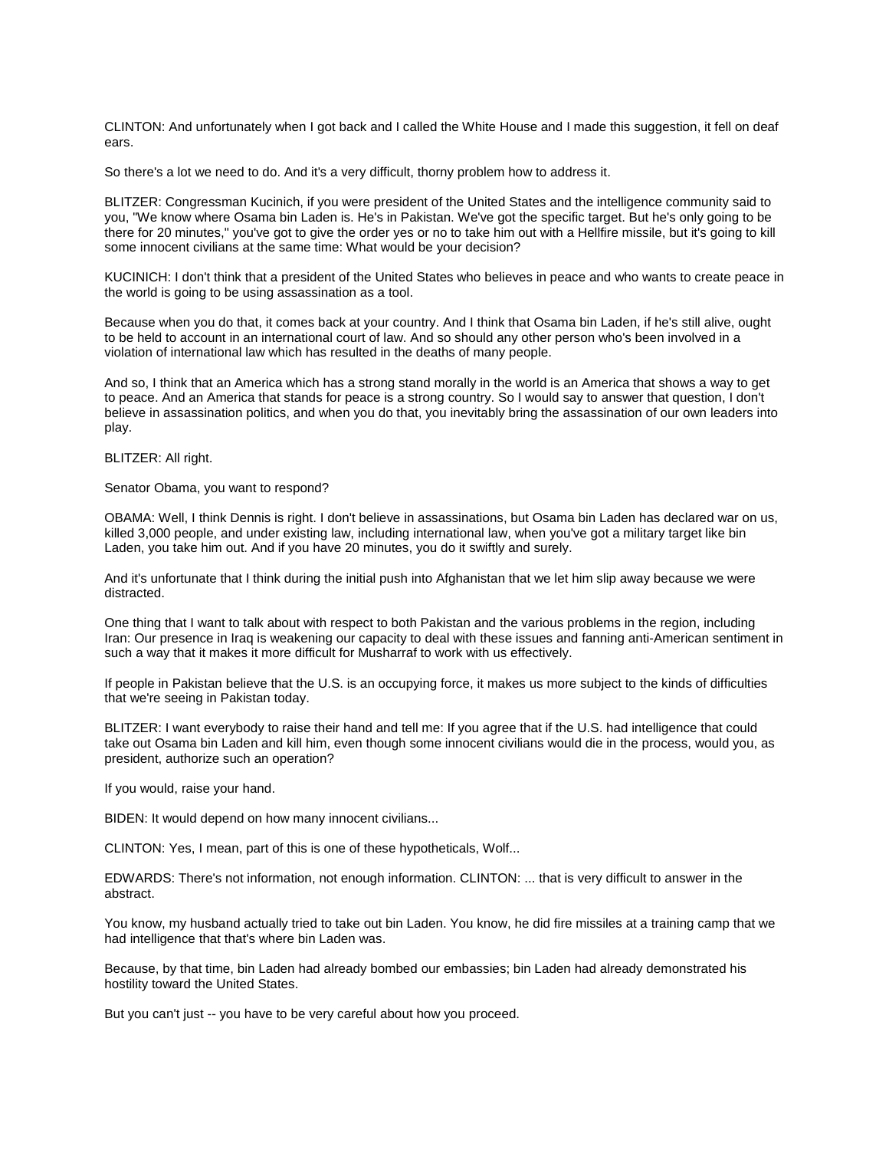CLINTON: And unfortunately when I got back and I called the White House and I made this suggestion, it fell on deaf ears.

So there's a lot we need to do. And it's a very difficult, thorny problem how to address it.

BLITZER: Congressman Kucinich, if you were president of the United States and the intelligence community said to you, "We know where Osama bin Laden is. He's in Pakistan. We've got the specific target. But he's only going to be there for 20 minutes," you've got to give the order yes or no to take him out with a Hellfire missile, but it's going to kill some innocent civilians at the same time: What would be your decision?

KUCINICH: I don't think that a president of the United States who believes in peace and who wants to create peace in the world is going to be using assassination as a tool.

Because when you do that, it comes back at your country. And I think that Osama bin Laden, if he's still alive, ought to be held to account in an international court of law. And so should any other person who's been involved in a violation of international law which has resulted in the deaths of many people.

And so, I think that an America which has a strong stand morally in the world is an America that shows a way to get to peace. And an America that stands for peace is a strong country. So I would say to answer that question, I don't believe in assassination politics, and when you do that, you inevitably bring the assassination of our own leaders into play.

BLITZER: All right.

Senator Obama, you want to respond?

OBAMA: Well, I think Dennis is right. I don't believe in assassinations, but Osama bin Laden has declared war on us, killed 3,000 people, and under existing law, including international law, when you've got a military target like bin Laden, you take him out. And if you have 20 minutes, you do it swiftly and surely.

And it's unfortunate that I think during the initial push into Afghanistan that we let him slip away because we were distracted.

One thing that I want to talk about with respect to both Pakistan and the various problems in the region, including Iran: Our presence in Iraq is weakening our capacity to deal with these issues and fanning anti-American sentiment in such a way that it makes it more difficult for Musharraf to work with us effectively.

If people in Pakistan believe that the U.S. is an occupying force, it makes us more subject to the kinds of difficulties that we're seeing in Pakistan today.

BLITZER: I want everybody to raise their hand and tell me: If you agree that if the U.S. had intelligence that could take out Osama bin Laden and kill him, even though some innocent civilians would die in the process, would you, as president, authorize such an operation?

If you would, raise your hand.

BIDEN: It would depend on how many innocent civilians...

CLINTON: Yes, I mean, part of this is one of these hypotheticals, Wolf...

EDWARDS: There's not information, not enough information. CLINTON: ... that is very difficult to answer in the abstract.

You know, my husband actually tried to take out bin Laden. You know, he did fire missiles at a training camp that we had intelligence that that's where bin Laden was.

Because, by that time, bin Laden had already bombed our embassies; bin Laden had already demonstrated his hostility toward the United States.

But you can't just -- you have to be very careful about how you proceed.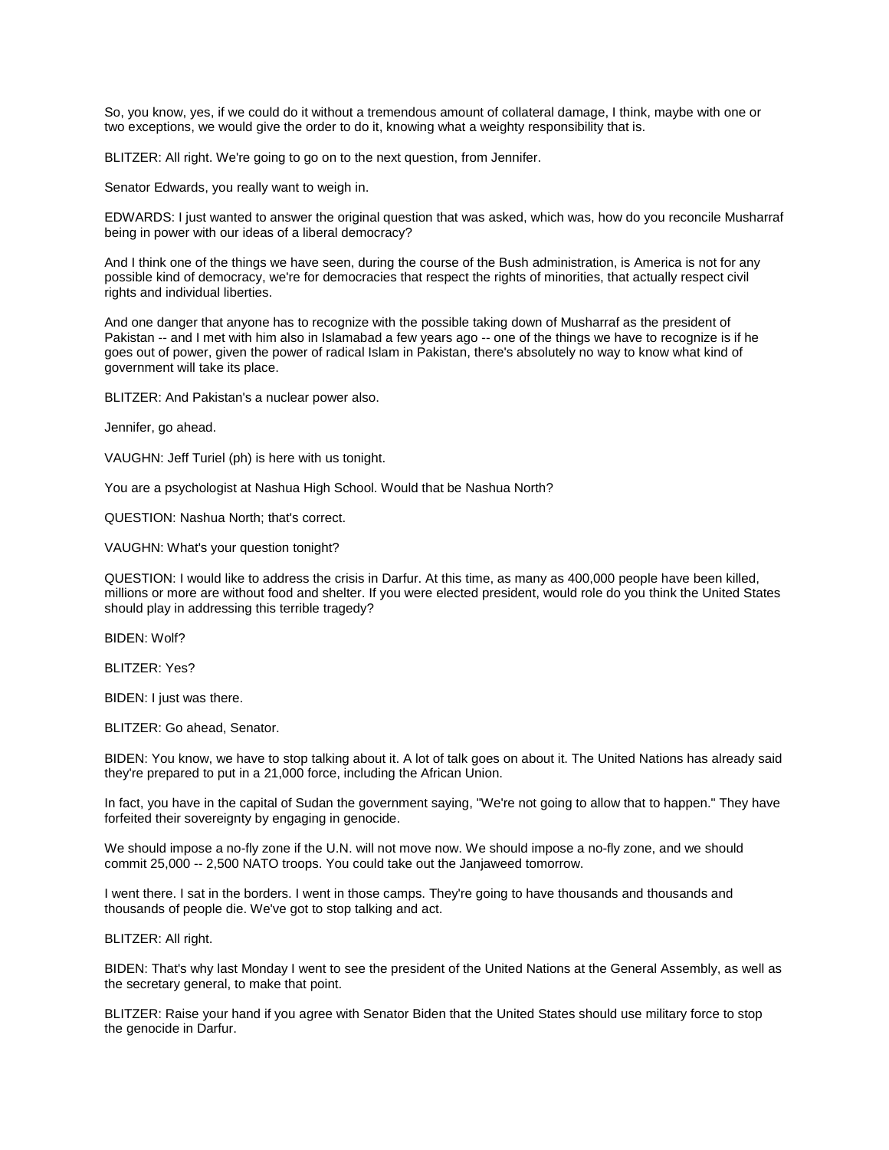So, you know, yes, if we could do it without a tremendous amount of collateral damage, I think, maybe with one or two exceptions, we would give the order to do it, knowing what a weighty responsibility that is.

BLITZER: All right. We're going to go on to the next question, from Jennifer.

Senator Edwards, you really want to weigh in.

EDWARDS: I just wanted to answer the original question that was asked, which was, how do you reconcile Musharraf being in power with our ideas of a liberal democracy?

And I think one of the things we have seen, during the course of the Bush administration, is America is not for any possible kind of democracy, we're for democracies that respect the rights of minorities, that actually respect civil rights and individual liberties.

And one danger that anyone has to recognize with the possible taking down of Musharraf as the president of Pakistan -- and I met with him also in Islamabad a few years ago -- one of the things we have to recognize is if he goes out of power, given the power of radical Islam in Pakistan, there's absolutely no way to know what kind of government will take its place.

BLITZER: And Pakistan's a nuclear power also.

Jennifer, go ahead.

VAUGHN: Jeff Turiel (ph) is here with us tonight.

You are a psychologist at Nashua High School. Would that be Nashua North?

QUESTION: Nashua North; that's correct.

VAUGHN: What's your question tonight?

QUESTION: I would like to address the crisis in Darfur. At this time, as many as 400,000 people have been killed, millions or more are without food and shelter. If you were elected president, would role do you think the United States should play in addressing this terrible tragedy?

BIDEN: Wolf?

BLITZER: Yes?

BIDEN: I just was there.

BLITZER: Go ahead, Senator.

BIDEN: You know, we have to stop talking about it. A lot of talk goes on about it. The United Nations has already said they're prepared to put in a 21,000 force, including the African Union.

In fact, you have in the capital of Sudan the government saying, "We're not going to allow that to happen." They have forfeited their sovereignty by engaging in genocide.

We should impose a no-fly zone if the U.N. will not move now. We should impose a no-fly zone, and we should commit 25,000 -- 2,500 NATO troops. You could take out the Janjaweed tomorrow.

I went there. I sat in the borders. I went in those camps. They're going to have thousands and thousands and thousands of people die. We've got to stop talking and act.

BLITZER: All right.

BIDEN: That's why last Monday I went to see the president of the United Nations at the General Assembly, as well as the secretary general, to make that point.

BLITZER: Raise your hand if you agree with Senator Biden that the United States should use military force to stop the genocide in Darfur.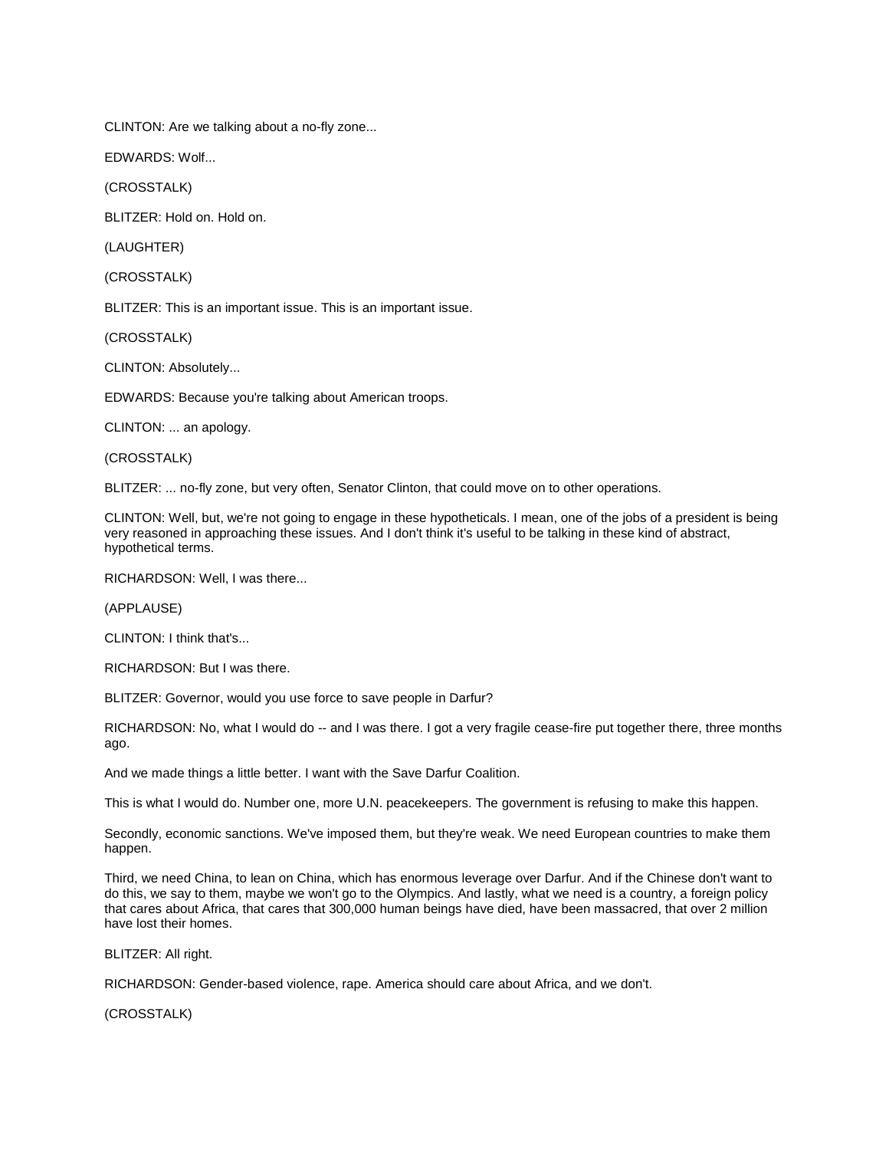CLINTON: Are we talking about a no-fly zone...

EDWARDS: Wolf...

(CROSSTALK)

BLITZER: Hold on. Hold on.

(LAUGHTER)

(CROSSTALK)

BLITZER: This is an important issue. This is an important issue.

(CROSSTALK)

CLINTON: Absolutely...

EDWARDS: Because you're talking about American troops.

CLINTON: ... an apology.

(CROSSTALK)

BLITZER: ... no-fly zone, but very often, Senator Clinton, that could move on to other operations.

CLINTON: Well, but, we're not going to engage in these hypotheticals. I mean, one of the jobs of a president is being very reasoned in approaching these issues. And I don't think it's useful to be talking in these kind of abstract, hypothetical terms.

RICHARDSON: Well, I was there...

(APPLAUSE)

CLINTON: I think that's...

RICHARDSON: But I was there.

BLITZER: Governor, would you use force to save people in Darfur?

RICHARDSON: No, what I would do -- and I was there. I got a very fragile cease-fire put together there, three months ago.

And we made things a little better. I want with the Save Darfur Coalition.

This is what I would do. Number one, more U.N. peacekeepers. The government is refusing to make this happen.

Secondly, economic sanctions. We've imposed them, but they're weak. We need European countries to make them happen.

Third, we need China, to lean on China, which has enormous leverage over Darfur. And if the Chinese don't want to do this, we say to them, maybe we won't go to the Olympics. And lastly, what we need is a country, a foreign policy that cares about Africa, that cares that 300,000 human beings have died, have been massacred, that over 2 million have lost their homes.

BLITZER: All right.

RICHARDSON: Gender-based violence, rape. America should care about Africa, and we don't.

(CROSSTALK)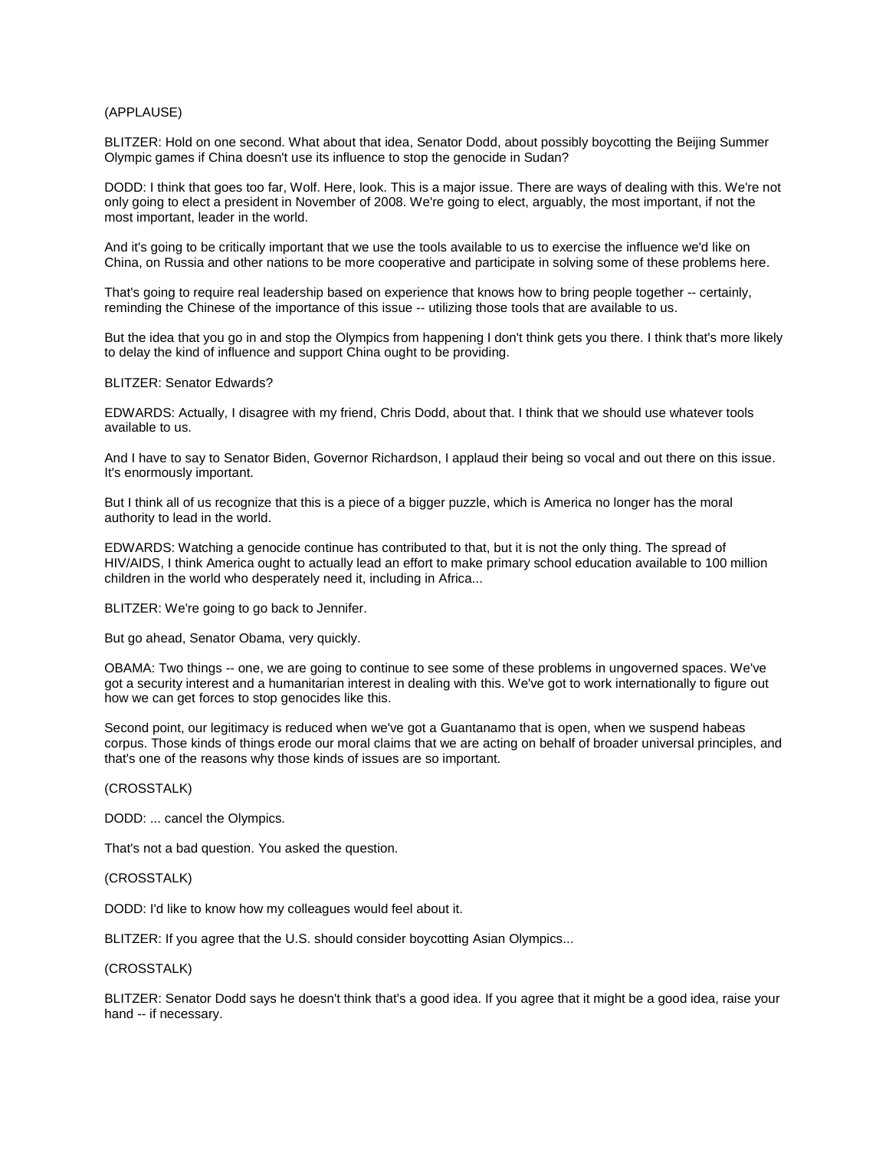### (APPLAUSE)

BLITZER: Hold on one second. What about that idea, Senator Dodd, about possibly boycotting the Beijing Summer Olympic games if China doesn't use its influence to stop the genocide in Sudan?

DODD: I think that goes too far, Wolf. Here, look. This is a major issue. There are ways of dealing with this. We're not only going to elect a president in November of 2008. We're going to elect, arguably, the most important, if not the most important, leader in the world.

And it's going to be critically important that we use the tools available to us to exercise the influence we'd like on China, on Russia and other nations to be more cooperative and participate in solving some of these problems here.

That's going to require real leadership based on experience that knows how to bring people together -- certainly, reminding the Chinese of the importance of this issue -- utilizing those tools that are available to us.

But the idea that you go in and stop the Olympics from happening I don't think gets you there. I think that's more likely to delay the kind of influence and support China ought to be providing.

#### BLITZER: Senator Edwards?

EDWARDS: Actually, I disagree with my friend, Chris Dodd, about that. I think that we should use whatever tools available to us.

And I have to say to Senator Biden, Governor Richardson, I applaud their being so vocal and out there on this issue. It's enormously important.

But I think all of us recognize that this is a piece of a bigger puzzle, which is America no longer has the moral authority to lead in the world.

EDWARDS: Watching a genocide continue has contributed to that, but it is not the only thing. The spread of HIV/AIDS, I think America ought to actually lead an effort to make primary school education available to 100 million children in the world who desperately need it, including in Africa...

BLITZER: We're going to go back to Jennifer.

But go ahead, Senator Obama, very quickly.

OBAMA: Two things -- one, we are going to continue to see some of these problems in ungoverned spaces. We've got a security interest and a humanitarian interest in dealing with this. We've got to work internationally to figure out how we can get forces to stop genocides like this.

Second point, our legitimacy is reduced when we've got a Guantanamo that is open, when we suspend habeas corpus. Those kinds of things erode our moral claims that we are acting on behalf of broader universal principles, and that's one of the reasons why those kinds of issues are so important.

### (CROSSTALK)

DODD: ... cancel the Olympics.

That's not a bad question. You asked the question.

### (CROSSTALK)

DODD: I'd like to know how my colleagues would feel about it.

BLITZER: If you agree that the U.S. should consider boycotting Asian Olympics...

### (CROSSTALK)

BLITZER: Senator Dodd says he doesn't think that's a good idea. If you agree that it might be a good idea, raise your hand -- if necessary.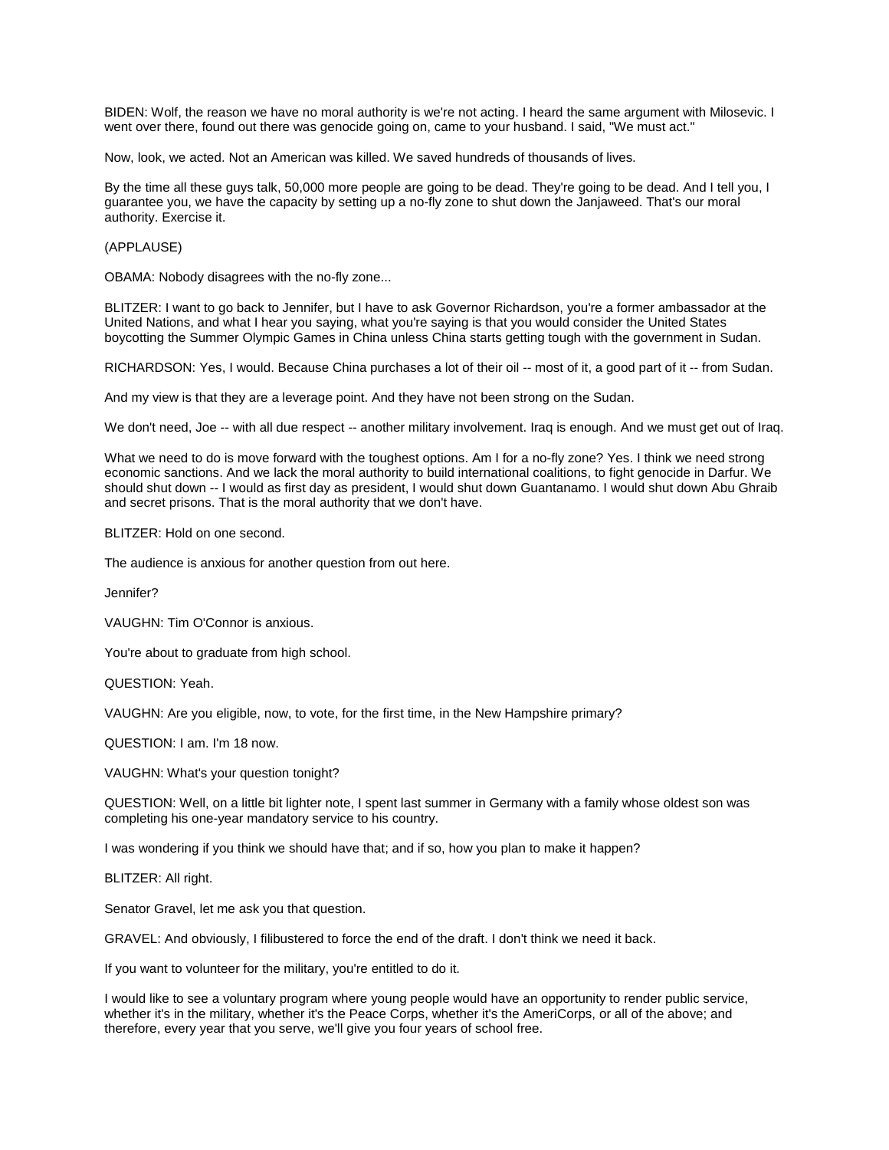BIDEN: Wolf, the reason we have no moral authority is we're not acting. I heard the same argument with Milosevic. I went over there, found out there was genocide going on, came to your husband. I said, "We must act."

Now, look, we acted. Not an American was killed. We saved hundreds of thousands of lives.

By the time all these guys talk, 50,000 more people are going to be dead. They're going to be dead. And I tell you, I guarantee you, we have the capacity by setting up a no-fly zone to shut down the Janjaweed. That's our moral authority. Exercise it.

(APPLAUSE)

OBAMA: Nobody disagrees with the no-fly zone...

BLITZER: I want to go back to Jennifer, but I have to ask Governor Richardson, you're a former ambassador at the United Nations, and what I hear you saying, what you're saying is that you would consider the United States boycotting the Summer Olympic Games in China unless China starts getting tough with the government in Sudan.

RICHARDSON: Yes, I would. Because China purchases a lot of their oil -- most of it, a good part of it -- from Sudan.

And my view is that they are a leverage point. And they have not been strong on the Sudan.

We don't need, Joe -- with all due respect -- another military involvement. Iraq is enough. And we must get out of Iraq.

What we need to do is move forward with the toughest options. Am I for a no-fly zone? Yes. I think we need strong economic sanctions. And we lack the moral authority to build international coalitions, to fight genocide in Darfur. We should shut down -- I would as first day as president, I would shut down Guantanamo. I would shut down Abu Ghraib and secret prisons. That is the moral authority that we don't have.

BLITZER: Hold on one second.

The audience is anxious for another question from out here.

Jennifer?

VAUGHN: Tim O'Connor is anxious.

You're about to graduate from high school.

QUESTION: Yeah.

VAUGHN: Are you eligible, now, to vote, for the first time, in the New Hampshire primary?

QUESTION: I am. I'm 18 now.

VAUGHN: What's your question tonight?

QUESTION: Well, on a little bit lighter note, I spent last summer in Germany with a family whose oldest son was completing his one-year mandatory service to his country.

I was wondering if you think we should have that; and if so, how you plan to make it happen?

BLITZER: All right.

Senator Gravel, let me ask you that question.

GRAVEL: And obviously, I filibustered to force the end of the draft. I don't think we need it back.

If you want to volunteer for the military, you're entitled to do it.

I would like to see a voluntary program where young people would have an opportunity to render public service, whether it's in the military, whether it's the Peace Corps, whether it's the AmeriCorps, or all of the above; and therefore, every year that you serve, we'll give you four years of school free.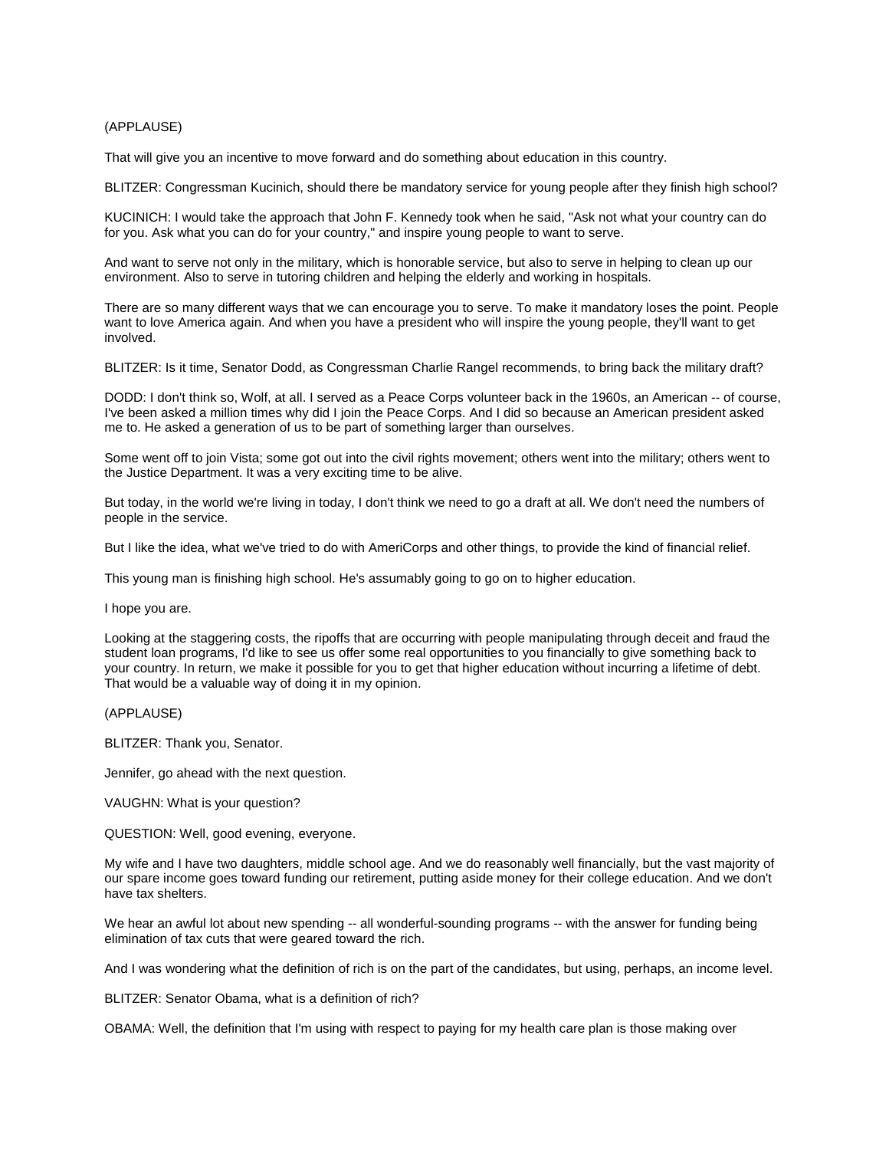### (APPLAUSE)

That will give you an incentive to move forward and do something about education in this country.

BLITZER: Congressman Kucinich, should there be mandatory service for young people after they finish high school?

KUCINICH: I would take the approach that John F. Kennedy took when he said, "Ask not what your country can do for you. Ask what you can do for your country," and inspire young people to want to serve.

And want to serve not only in the military, which is honorable service, but also to serve in helping to clean up our environment. Also to serve in tutoring children and helping the elderly and working in hospitals.

There are so many different ways that we can encourage you to serve. To make it mandatory loses the point. People want to love America again. And when you have a president who will inspire the young people, they'll want to get involved.

BLITZER: Is it time, Senator Dodd, as Congressman Charlie Rangel recommends, to bring back the military draft?

DODD: I don't think so, Wolf, at all. I served as a Peace Corps volunteer back in the 1960s, an American -- of course, I've been asked a million times why did I join the Peace Corps. And I did so because an American president asked me to. He asked a generation of us to be part of something larger than ourselves.

Some went off to join Vista; some got out into the civil rights movement; others went into the military; others went to the Justice Department. It was a very exciting time to be alive.

But today, in the world we're living in today, I don't think we need to go a draft at all. We don't need the numbers of people in the service.

But I like the idea, what we've tried to do with AmeriCorps and other things, to provide the kind of financial relief.

This young man is finishing high school. He's assumably going to go on to higher education.

I hope you are.

Looking at the staggering costs, the ripoffs that are occurring with people manipulating through deceit and fraud the student loan programs, I'd like to see us offer some real opportunities to you financially to give something back to your country. In return, we make it possible for you to get that higher education without incurring a lifetime of debt. That would be a valuable way of doing it in my opinion.

(APPLAUSE)

BLITZER: Thank you, Senator.

Jennifer, go ahead with the next question.

VAUGHN: What is your question?

QUESTION: Well, good evening, everyone.

My wife and I have two daughters, middle school age. And we do reasonably well financially, but the vast majority of our spare income goes toward funding our retirement, putting aside money for their college education. And we don't have tax shelters.

We hear an awful lot about new spending -- all wonderful-sounding programs -- with the answer for funding being elimination of tax cuts that were geared toward the rich.

And I was wondering what the definition of rich is on the part of the candidates, but using, perhaps, an income level.

BLITZER: Senator Obama, what is a definition of rich?

OBAMA: Well, the definition that I'm using with respect to paying for my health care plan is those making over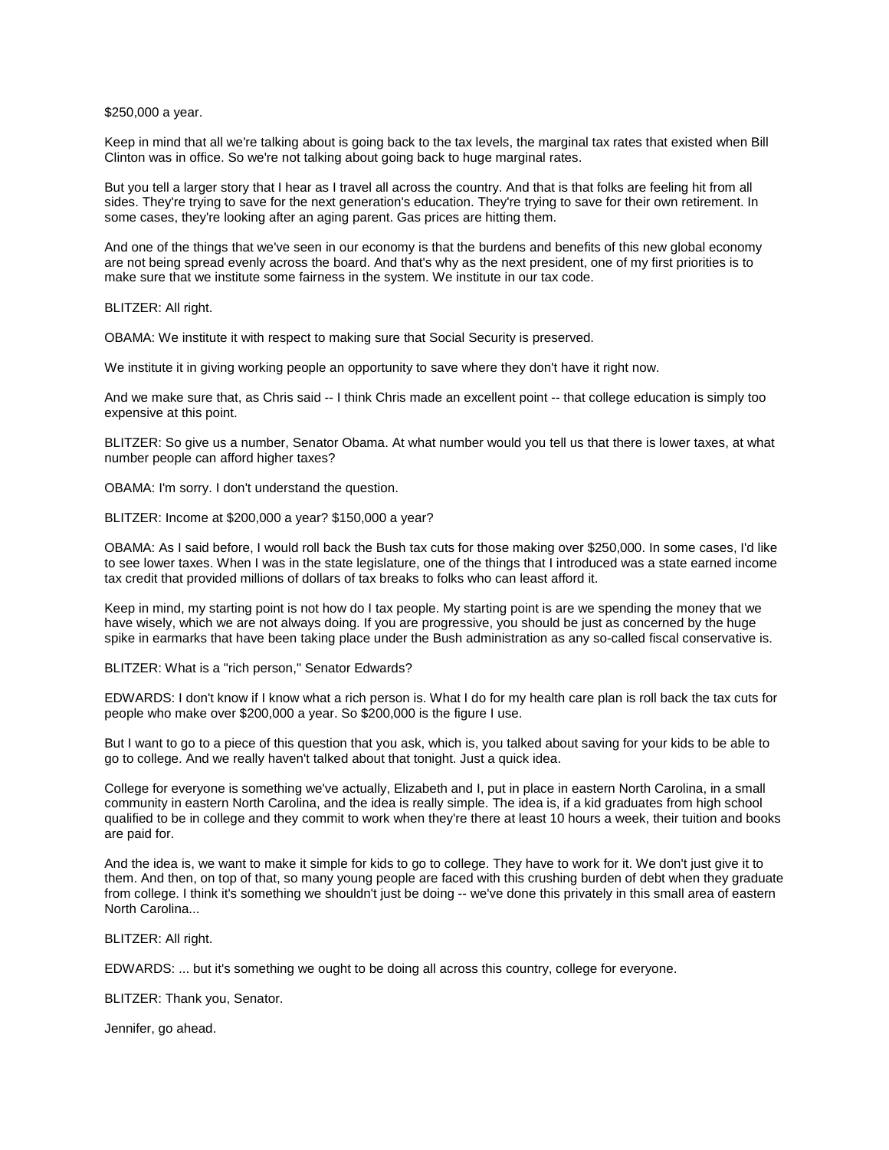\$250,000 a year.

Keep in mind that all we're talking about is going back to the tax levels, the marginal tax rates that existed when Bill Clinton was in office. So we're not talking about going back to huge marginal rates.

But you tell a larger story that I hear as I travel all across the country. And that is that folks are feeling hit from all sides. They're trying to save for the next generation's education. They're trying to save for their own retirement. In some cases, they're looking after an aging parent. Gas prices are hitting them.

And one of the things that we've seen in our economy is that the burdens and benefits of this new global economy are not being spread evenly across the board. And that's why as the next president, one of my first priorities is to make sure that we institute some fairness in the system. We institute in our tax code.

BLITZER: All right.

OBAMA: We institute it with respect to making sure that Social Security is preserved.

We institute it in giving working people an opportunity to save where they don't have it right now.

And we make sure that, as Chris said -- I think Chris made an excellent point -- that college education is simply too expensive at this point.

BLITZER: So give us a number, Senator Obama. At what number would you tell us that there is lower taxes, at what number people can afford higher taxes?

OBAMA: I'm sorry. I don't understand the question.

BLITZER: Income at \$200,000 a year? \$150,000 a year?

OBAMA: As I said before, I would roll back the Bush tax cuts for those making over \$250,000. In some cases, I'd like to see lower taxes. When I was in the state legislature, one of the things that I introduced was a state earned income tax credit that provided millions of dollars of tax breaks to folks who can least afford it.

Keep in mind, my starting point is not how do I tax people. My starting point is are we spending the money that we have wisely, which we are not always doing. If you are progressive, you should be just as concerned by the huge spike in earmarks that have been taking place under the Bush administration as any so-called fiscal conservative is.

BLITZER: What is a "rich person," Senator Edwards?

EDWARDS: I don't know if I know what a rich person is. What I do for my health care plan is roll back the tax cuts for people who make over \$200,000 a year. So \$200,000 is the figure I use.

But I want to go to a piece of this question that you ask, which is, you talked about saving for your kids to be able to go to college. And we really haven't talked about that tonight. Just a quick idea.

College for everyone is something we've actually, Elizabeth and I, put in place in eastern North Carolina, in a small community in eastern North Carolina, and the idea is really simple. The idea is, if a kid graduates from high school qualified to be in college and they commit to work when they're there at least 10 hours a week, their tuition and books are paid for.

And the idea is, we want to make it simple for kids to go to college. They have to work for it. We don't just give it to them. And then, on top of that, so many young people are faced with this crushing burden of debt when they graduate from college. I think it's something we shouldn't just be doing -- we've done this privately in this small area of eastern North Carolina...

BLITZER: All right.

EDWARDS: ... but it's something we ought to be doing all across this country, college for everyone.

BLITZER: Thank you, Senator.

Jennifer, go ahead.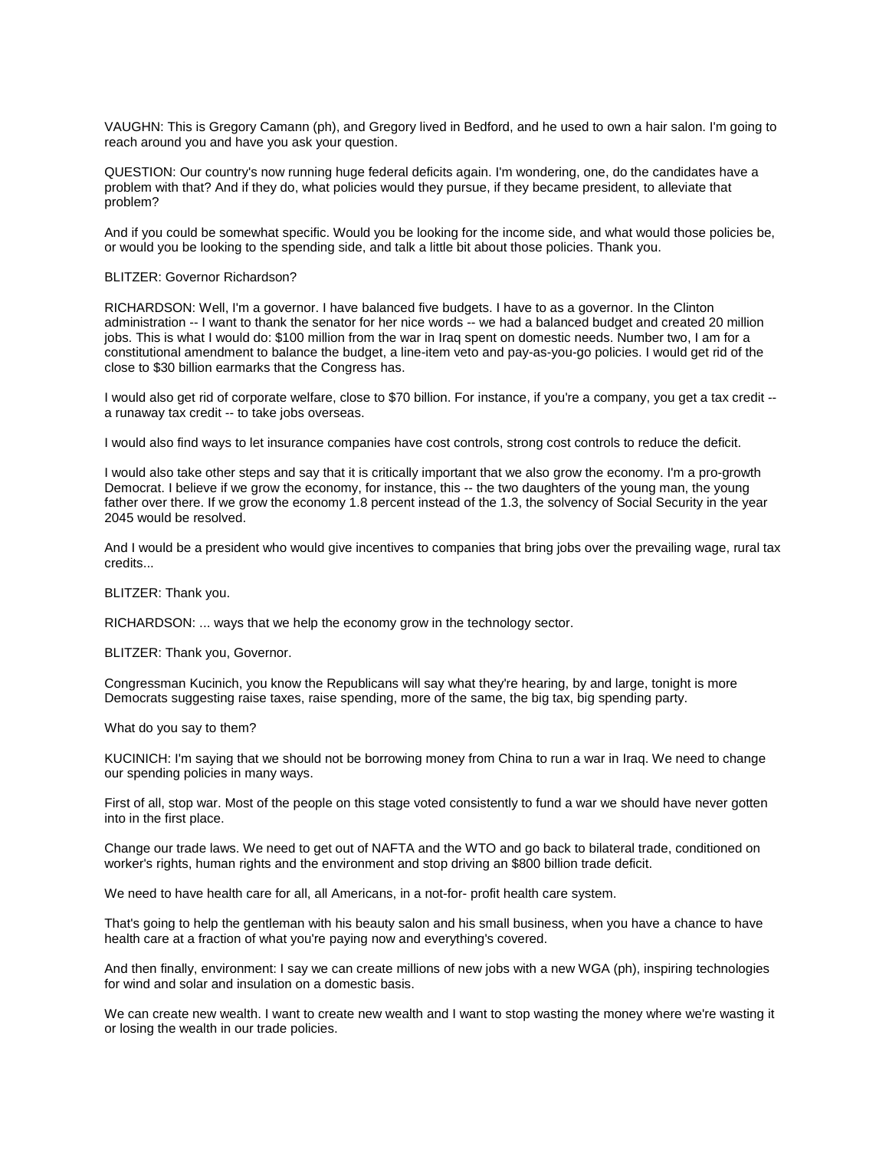VAUGHN: This is Gregory Camann (ph), and Gregory lived in Bedford, and he used to own a hair salon. I'm going to reach around you and have you ask your question.

QUESTION: Our country's now running huge federal deficits again. I'm wondering, one, do the candidates have a problem with that? And if they do, what policies would they pursue, if they became president, to alleviate that problem?

And if you could be somewhat specific. Would you be looking for the income side, and what would those policies be, or would you be looking to the spending side, and talk a little bit about those policies. Thank you.

#### BLITZER: Governor Richardson?

RICHARDSON: Well, I'm a governor. I have balanced five budgets. I have to as a governor. In the Clinton administration -- I want to thank the senator for her nice words -- we had a balanced budget and created 20 million jobs. This is what I would do: \$100 million from the war in Iraq spent on domestic needs. Number two, I am for a constitutional amendment to balance the budget, a line-item veto and pay-as-you-go policies. I would get rid of the close to \$30 billion earmarks that the Congress has.

I would also get rid of corporate welfare, close to \$70 billion. For instance, if you're a company, you get a tax credit - a runaway tax credit -- to take jobs overseas.

I would also find ways to let insurance companies have cost controls, strong cost controls to reduce the deficit.

I would also take other steps and say that it is critically important that we also grow the economy. I'm a pro-growth Democrat. I believe if we grow the economy, for instance, this -- the two daughters of the young man, the young father over there. If we grow the economy 1.8 percent instead of the 1.3, the solvency of Social Security in the year 2045 would be resolved.

And I would be a president who would give incentives to companies that bring jobs over the prevailing wage, rural tax credits...

BLITZER: Thank you.

RICHARDSON: ... ways that we help the economy grow in the technology sector.

BLITZER: Thank you, Governor.

Congressman Kucinich, you know the Republicans will say what they're hearing, by and large, tonight is more Democrats suggesting raise taxes, raise spending, more of the same, the big tax, big spending party.

What do you say to them?

KUCINICH: I'm saying that we should not be borrowing money from China to run a war in Iraq. We need to change our spending policies in many ways.

First of all, stop war. Most of the people on this stage voted consistently to fund a war we should have never gotten into in the first place.

Change our trade laws. We need to get out of NAFTA and the WTO and go back to bilateral trade, conditioned on worker's rights, human rights and the environment and stop driving an \$800 billion trade deficit.

We need to have health care for all, all Americans, in a not-for- profit health care system.

That's going to help the gentleman with his beauty salon and his small business, when you have a chance to have health care at a fraction of what you're paying now and everything's covered.

And then finally, environment: I say we can create millions of new jobs with a new WGA (ph), inspiring technologies for wind and solar and insulation on a domestic basis.

We can create new wealth. I want to create new wealth and I want to stop wasting the money where we're wasting it or losing the wealth in our trade policies.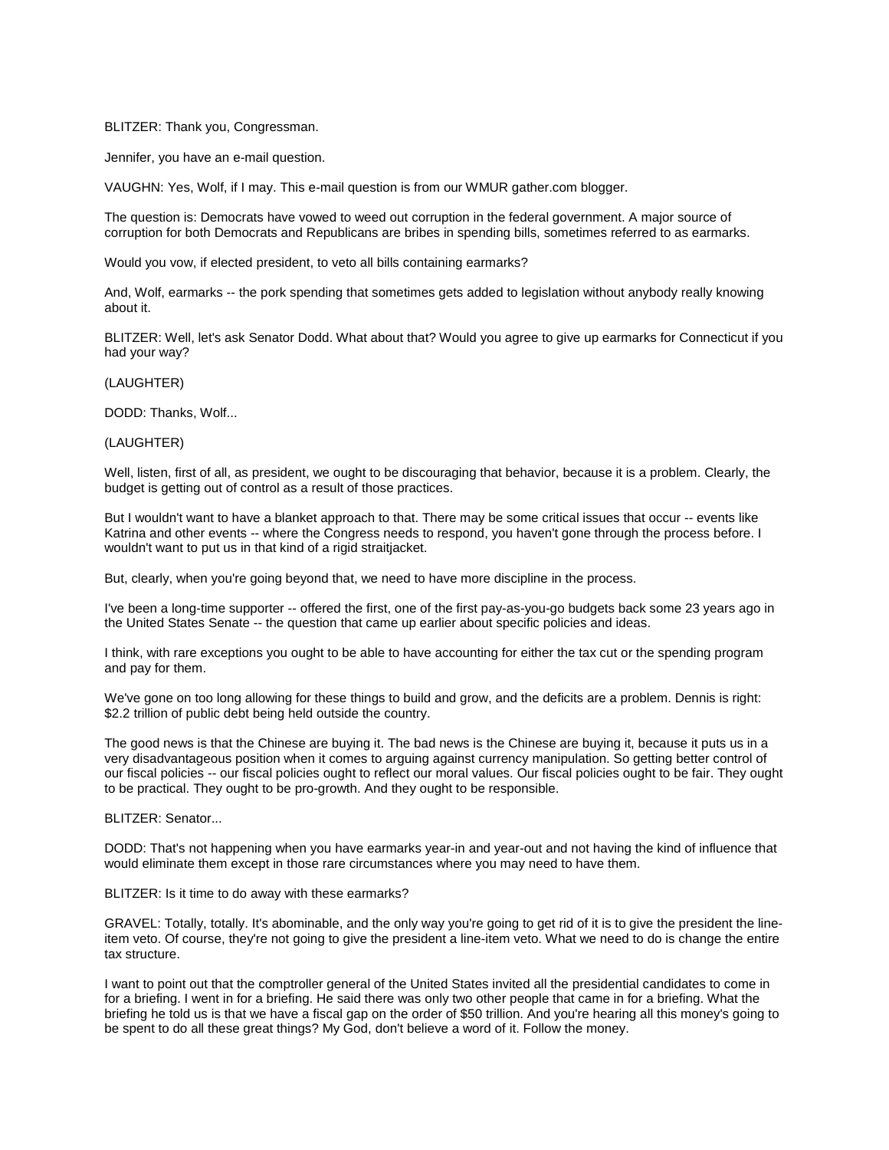BLITZER: Thank you, Congressman.

Jennifer, you have an e-mail question.

VAUGHN: Yes, Wolf, if I may. This e-mail question is from our WMUR gather.com blogger.

The question is: Democrats have vowed to weed out corruption in the federal government. A major source of corruption for both Democrats and Republicans are bribes in spending bills, sometimes referred to as earmarks.

Would you vow, if elected president, to veto all bills containing earmarks?

And, Wolf, earmarks -- the pork spending that sometimes gets added to legislation without anybody really knowing about it.

BLITZER: Well, let's ask Senator Dodd. What about that? Would you agree to give up earmarks for Connecticut if you had your way?

(LAUGHTER)

DODD: Thanks, Wolf...

(LAUGHTER)

Well, listen, first of all, as president, we ought to be discouraging that behavior, because it is a problem. Clearly, the budget is getting out of control as a result of those practices.

But I wouldn't want to have a blanket approach to that. There may be some critical issues that occur -- events like Katrina and other events -- where the Congress needs to respond, you haven't gone through the process before. I wouldn't want to put us in that kind of a rigid straitjacket.

But, clearly, when you're going beyond that, we need to have more discipline in the process.

I've been a long-time supporter -- offered the first, one of the first pay-as-you-go budgets back some 23 years ago in the United States Senate -- the question that came up earlier about specific policies and ideas.

I think, with rare exceptions you ought to be able to have accounting for either the tax cut or the spending program and pay for them.

We've gone on too long allowing for these things to build and grow, and the deficits are a problem. Dennis is right: \$2.2 trillion of public debt being held outside the country.

The good news is that the Chinese are buying it. The bad news is the Chinese are buying it, because it puts us in a very disadvantageous position when it comes to arguing against currency manipulation. So getting better control of our fiscal policies -- our fiscal policies ought to reflect our moral values. Our fiscal policies ought to be fair. They ought to be practical. They ought to be pro-growth. And they ought to be responsible.

BLITZER: Senator...

DODD: That's not happening when you have earmarks year-in and year-out and not having the kind of influence that would eliminate them except in those rare circumstances where you may need to have them.

BLITZER: Is it time to do away with these earmarks?

GRAVEL: Totally, totally. It's abominable, and the only way you're going to get rid of it is to give the president the lineitem veto. Of course, they're not going to give the president a line-item veto. What we need to do is change the entire tax structure.

I want to point out that the comptroller general of the United States invited all the presidential candidates to come in for a briefing. I went in for a briefing. He said there was only two other people that came in for a briefing. What the briefing he told us is that we have a fiscal gap on the order of \$50 trillion. And you're hearing all this money's going to be spent to do all these great things? My God, don't believe a word of it. Follow the money.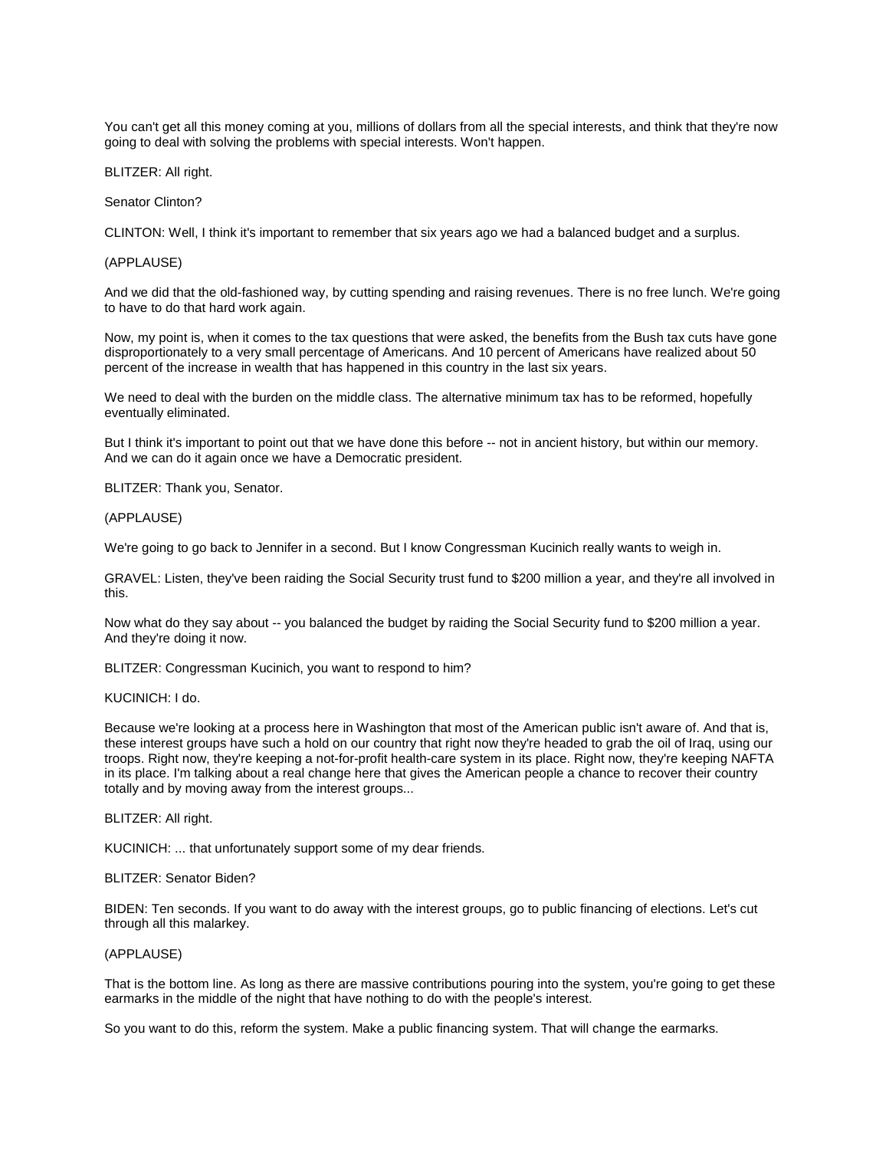You can't get all this money coming at you, millions of dollars from all the special interests, and think that they're now going to deal with solving the problems with special interests. Won't happen.

BLITZER: All right.

Senator Clinton?

CLINTON: Well, I think it's important to remember that six years ago we had a balanced budget and a surplus.

(APPLAUSE)

And we did that the old-fashioned way, by cutting spending and raising revenues. There is no free lunch. We're going to have to do that hard work again.

Now, my point is, when it comes to the tax questions that were asked, the benefits from the Bush tax cuts have gone disproportionately to a very small percentage of Americans. And 10 percent of Americans have realized about 50 percent of the increase in wealth that has happened in this country in the last six years.

We need to deal with the burden on the middle class. The alternative minimum tax has to be reformed, hopefully eventually eliminated.

But I think it's important to point out that we have done this before -- not in ancient history, but within our memory. And we can do it again once we have a Democratic president.

BLITZER: Thank you, Senator.

(APPLAUSE)

We're going to go back to Jennifer in a second. But I know Congressman Kucinich really wants to weigh in.

GRAVEL: Listen, they've been raiding the Social Security trust fund to \$200 million a year, and they're all involved in this.

Now what do they say about -- you balanced the budget by raiding the Social Security fund to \$200 million a year. And they're doing it now.

BLITZER: Congressman Kucinich, you want to respond to him?

KUCINICH: I do.

Because we're looking at a process here in Washington that most of the American public isn't aware of. And that is, these interest groups have such a hold on our country that right now they're headed to grab the oil of Iraq, using our troops. Right now, they're keeping a not-for-profit health-care system in its place. Right now, they're keeping NAFTA in its place. I'm talking about a real change here that gives the American people a chance to recover their country totally and by moving away from the interest groups...

BLITZER: All right.

KUCINICH: ... that unfortunately support some of my dear friends.

### BLITZER: Senator Biden?

BIDEN: Ten seconds. If you want to do away with the interest groups, go to public financing of elections. Let's cut through all this malarkey.

### (APPLAUSE)

That is the bottom line. As long as there are massive contributions pouring into the system, you're going to get these earmarks in the middle of the night that have nothing to do with the people's interest.

So you want to do this, reform the system. Make a public financing system. That will change the earmarks.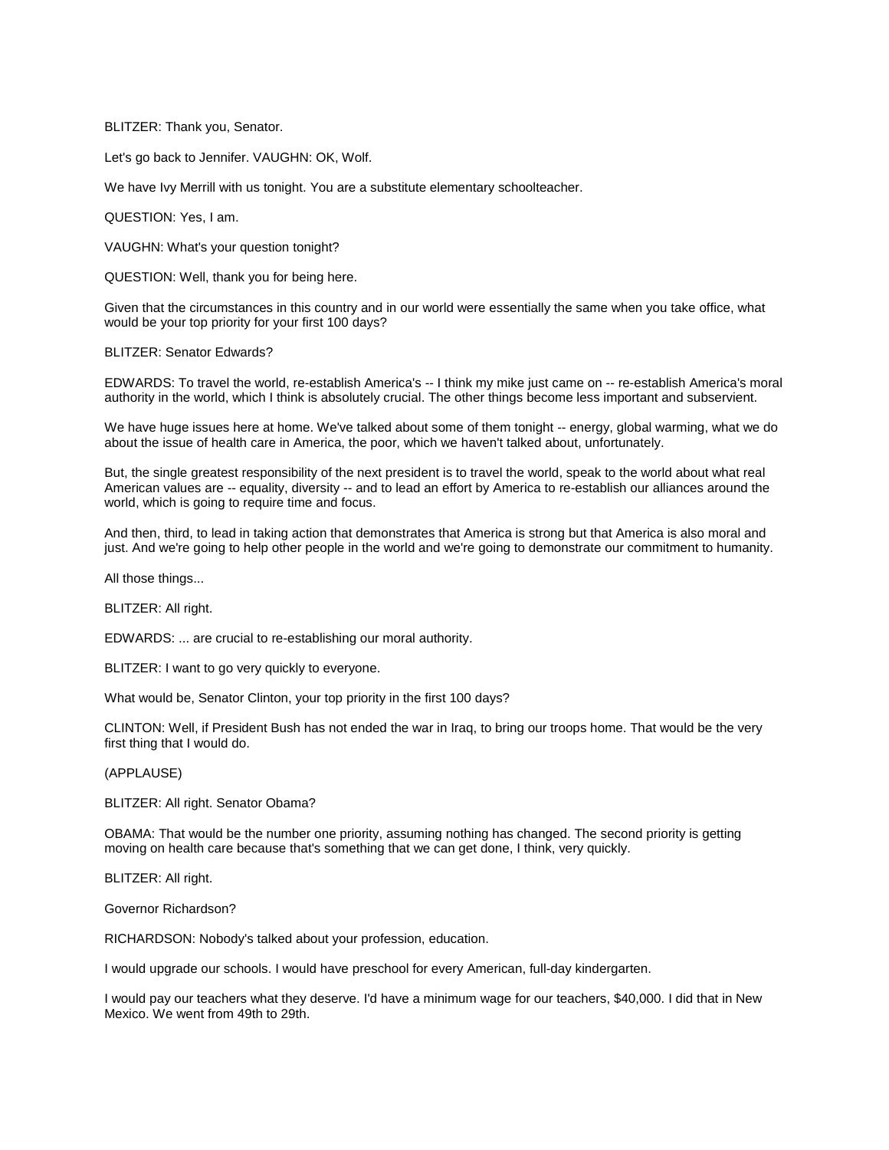BLITZER: Thank you, Senator.

Let's go back to Jennifer. VAUGHN: OK, Wolf.

We have Ivy Merrill with us tonight. You are a substitute elementary schoolteacher.

QUESTION: Yes, I am.

VAUGHN: What's your question tonight?

QUESTION: Well, thank you for being here.

Given that the circumstances in this country and in our world were essentially the same when you take office, what would be your top priority for your first 100 days?

### BLITZER: Senator Edwards?

EDWARDS: To travel the world, re-establish America's -- I think my mike just came on -- re-establish America's moral authority in the world, which I think is absolutely crucial. The other things become less important and subservient.

We have huge issues here at home. We've talked about some of them tonight -- energy, global warming, what we do about the issue of health care in America, the poor, which we haven't talked about, unfortunately.

But, the single greatest responsibility of the next president is to travel the world, speak to the world about what real American values are -- equality, diversity -- and to lead an effort by America to re-establish our alliances around the world, which is going to require time and focus.

And then, third, to lead in taking action that demonstrates that America is strong but that America is also moral and just. And we're going to help other people in the world and we're going to demonstrate our commitment to humanity.

All those things...

BLITZER: All right.

EDWARDS: ... are crucial to re-establishing our moral authority.

BLITZER: I want to go very quickly to everyone.

What would be, Senator Clinton, your top priority in the first 100 days?

CLINTON: Well, if President Bush has not ended the war in Iraq, to bring our troops home. That would be the very first thing that I would do.

(APPLAUSE)

BLITZER: All right. Senator Obama?

OBAMA: That would be the number one priority, assuming nothing has changed. The second priority is getting moving on health care because that's something that we can get done, I think, very quickly.

BLITZER: All right.

Governor Richardson?

RICHARDSON: Nobody's talked about your profession, education.

I would upgrade our schools. I would have preschool for every American, full-day kindergarten.

I would pay our teachers what they deserve. I'd have a minimum wage for our teachers, \$40,000. I did that in New Mexico. We went from 49th to 29th.